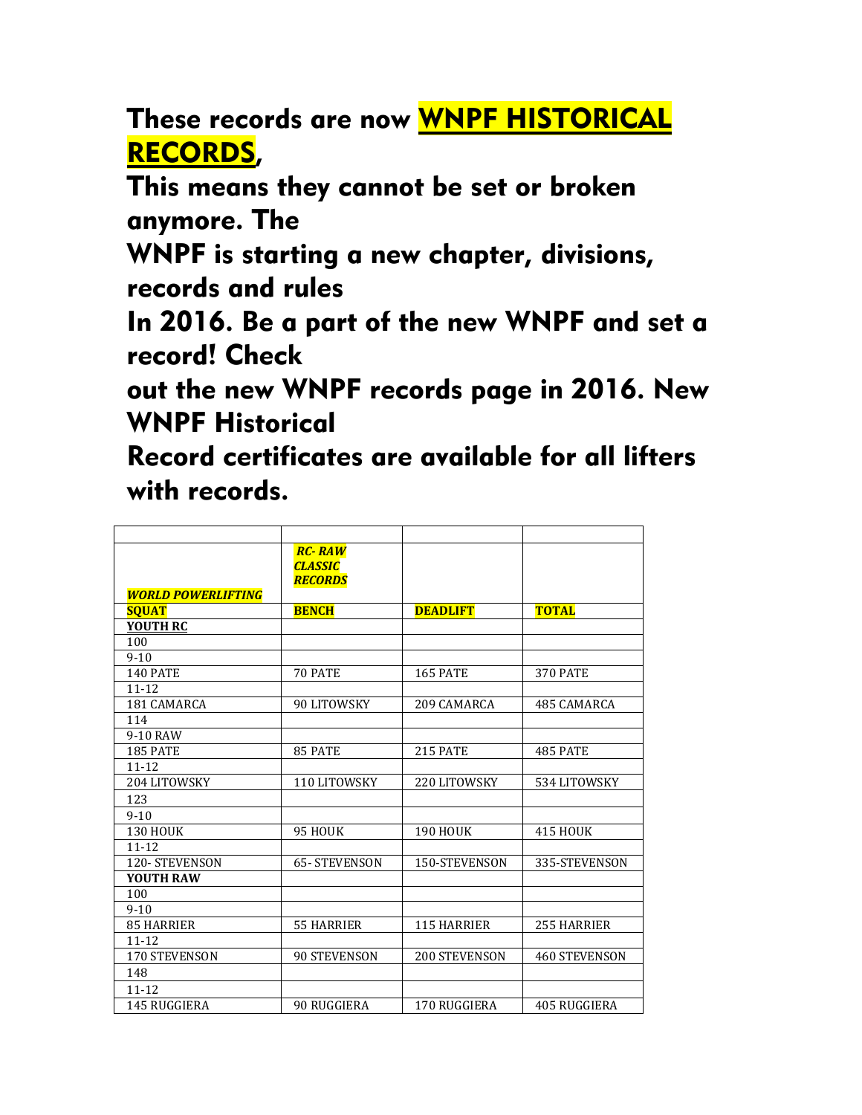These records are now WNPF HISTORICAL RECORDS,

This means they cannot be set or broken anymore. The

WNPF is starting a new chapter, divisions, records and rules

In 2016. Be a part of the new WNPF and set a record! Check

out the new WNPF records page in 2016. New WNPF Historical

Record certificates are available for all lifters with records.

| <b>WORLD POWERLIFTING</b> | <b>RC-RAW</b><br><b>CLASSIC</b><br><b>RECORDS</b> |                    |                      |
|---------------------------|---------------------------------------------------|--------------------|----------------------|
| <b>SOUAT</b>              | <b>BENCH</b>                                      | <b>DEADLIFT</b>    | <b>TOTAL</b>         |
| <b>YOUTH RC</b>           |                                                   |                    |                      |
| 100                       |                                                   |                    |                      |
| $9 - 10$                  |                                                   |                    |                      |
| <b>140 PATE</b>           | 70 PATE                                           | <b>165 PATE</b>    | <b>370 PATE</b>      |
| $11 - 12$                 |                                                   |                    |                      |
| 181 CAMARCA               | 90 LITOWSKY                                       | 209 CAMARCA        | 485 CAMARCA          |
| 114                       |                                                   |                    |                      |
| 9-10 RAW                  |                                                   |                    |                      |
| <b>185 PATE</b>           | 85 PATE                                           | <b>215 PATE</b>    | <b>485 PATE</b>      |
| $11 - 12$                 |                                                   |                    |                      |
| 204 LITOWSKY              | 110 LITOWSKY                                      | 220 LITOWSKY       | 534 LITOWSKY         |
| 123                       |                                                   |                    |                      |
| $9 - 10$                  |                                                   |                    |                      |
| <b>130 HOUK</b>           | 95 HOUK                                           | <b>190 HOUK</b>    | <b>415 HOUK</b>      |
| $11 - 12$                 |                                                   |                    |                      |
| <b>120- STEVENSON</b>     | <b>65-STEVENSON</b>                               | 150-STEVENSON      | 335-STEVENSON        |
| <b>YOUTH RAW</b>          |                                                   |                    |                      |
| 100                       |                                                   |                    |                      |
| $9 - 10$                  |                                                   |                    |                      |
| <b>85 HARRIER</b>         | 55 HARRIER                                        | <b>115 HARRIER</b> | 255 HARRIER          |
| $11 - 12$                 |                                                   |                    |                      |
| 170 STEVENSON             | <b>90 STEVENSON</b>                               | 200 STEVENSON      | <b>460 STEVENSON</b> |
| 148                       |                                                   |                    |                      |
| $11 - 12$                 |                                                   |                    |                      |
| 145 RUGGIERA              | 90 RUGGIERA                                       | 170 RUGGIERA       | 405 RUGGIERA         |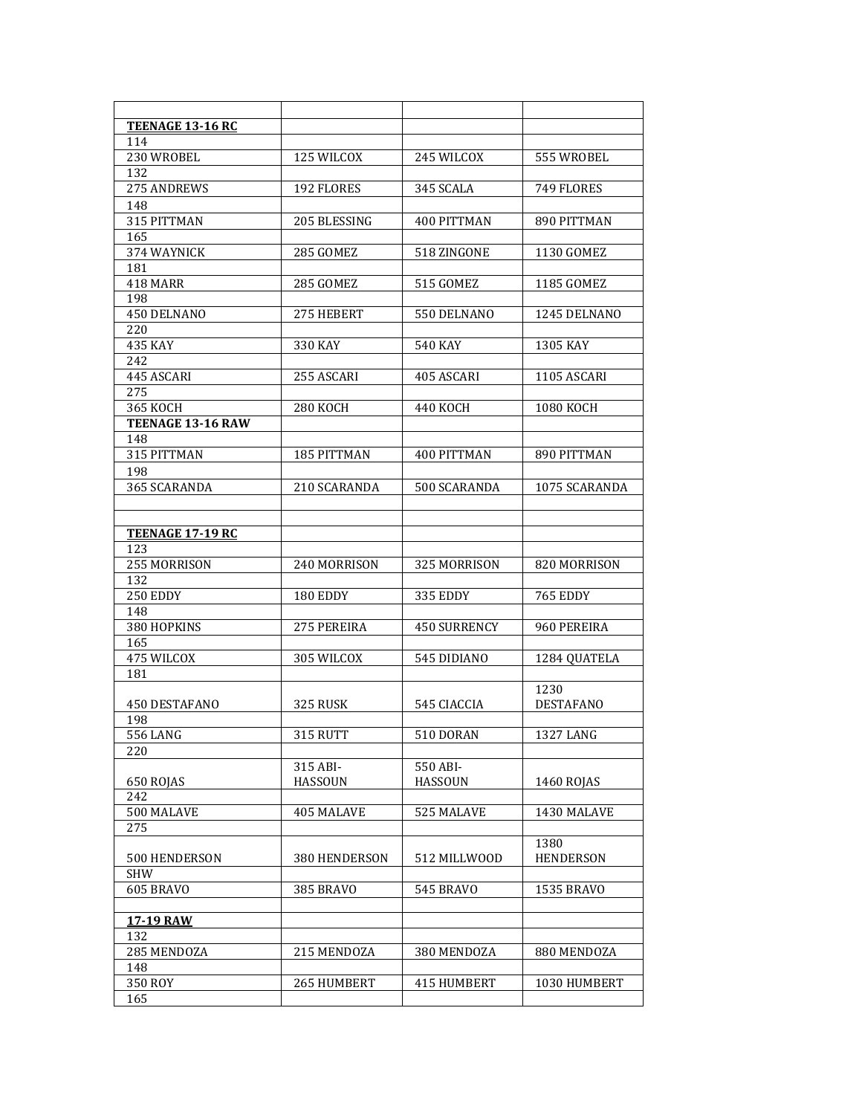| TEENAGE 13-16 RC        |                 |                     |                          |
|-------------------------|-----------------|---------------------|--------------------------|
| 114                     |                 |                     |                          |
| 230 WROBEL              | 125 WILCOX      | 245 WILCOX          | 555 WROBEL               |
| 132                     |                 |                     |                          |
| 275 ANDREWS             | 192 FLORES      | 345 SCALA           | 749 FLORES               |
| 148                     |                 |                     |                          |
| 315 PITTMAN             | 205 BLESSING    | 400 PITTMAN         | 890 PITTMAN              |
| 165                     |                 |                     |                          |
| 374 WAYNICK             | 285 GOMEZ       | 518 ZINGONE         | 1130 GOMEZ               |
| 181                     |                 |                     | 1185 GOMEZ               |
| 418 MARR<br>198         | 285 GOMEZ       | 515 GOMEZ           |                          |
| 450 DELNANO             | 275 HEBERT      | 550 DELNANO         | 1245 DELNANO             |
| 220                     |                 |                     |                          |
| 435 KAY                 | 330 KAY         | <b>540 KAY</b>      | 1305 KAY                 |
| 242                     |                 |                     |                          |
| 445 ASCARI              | 255 ASCARI      | 405 ASCARI          | 1105 ASCARI              |
| 275                     |                 |                     |                          |
| <b>365 KOCH</b>         | <b>280 KOCH</b> | 440 KOCH            | 1080 KOCH                |
| TEENAGE 13-16 RAW       |                 |                     |                          |
| 148                     |                 |                     |                          |
| 315 PITTMAN             | 185 PITTMAN     | 400 PITTMAN         | 890 PITTMAN              |
| 198                     |                 |                     |                          |
| 365 SCARANDA            | 210 SCARANDA    | 500 SCARANDA        | 1075 SCARANDA            |
|                         |                 |                     |                          |
|                         |                 |                     |                          |
| <b>TEENAGE 17-19 RC</b> |                 |                     |                          |
| 123                     |                 |                     |                          |
| 255 MORRISON            | 240 MORRISON    | 325 MORRISON        | 820 MORRISON             |
| 132                     |                 |                     |                          |
| 250 EDDY                | 180 EDDY        | 335 EDDY            | <b>765 EDDY</b>          |
| 148                     |                 |                     |                          |
| 380 HOPKINS             | 275 PEREIRA     | <b>450 SURRENCY</b> | 960 PEREIRA              |
| 165                     |                 |                     |                          |
| 475 WILCOX              | 305 WILCOX      | 545 DIDIANO         | 1284 QUATELA             |
| 181                     |                 |                     |                          |
| 450 DESTAFANO           | 325 RUSK        | 545 CIACCIA         | 1230<br><b>DESTAFANO</b> |
| 198                     |                 |                     |                          |
| 556 LANG                | 315 RUTT        | 510 DORAN           | 1327 LANG                |
| 220                     |                 |                     |                          |
|                         | 315 ABI-        | 550 ABI-            |                          |
| 650 ROJAS               | <b>HASSOUN</b>  | <b>HASSOUN</b>      | 1460 ROJAS               |
| 242                     |                 |                     |                          |
| 500 MALAVE              | 405 MALAVE      | 525 MALAVE          | 1430 MALAVE              |
| 275                     |                 |                     |                          |
|                         |                 |                     | 1380                     |
| 500 HENDERSON           | 380 HENDERSON   | 512 MILLWOOD        | <b>HENDERSON</b>         |
| <b>SHW</b>              |                 |                     |                          |
| 605 BRAVO               | 385 BRAVO       | <b>545 BRAVO</b>    | 1535 BRAVO               |
|                         |                 |                     |                          |
| <b>17-19 RAW</b>        |                 |                     |                          |
| 132                     |                 |                     |                          |
| 285 MENDOZA             | 215 MENDOZA     | 380 MENDOZA         | 880 MENDOZA              |
| 148                     |                 |                     |                          |
| 350 ROY                 | 265 HUMBERT     | 415 HUMBERT         | 1030 HUMBERT             |
| 165                     |                 |                     |                          |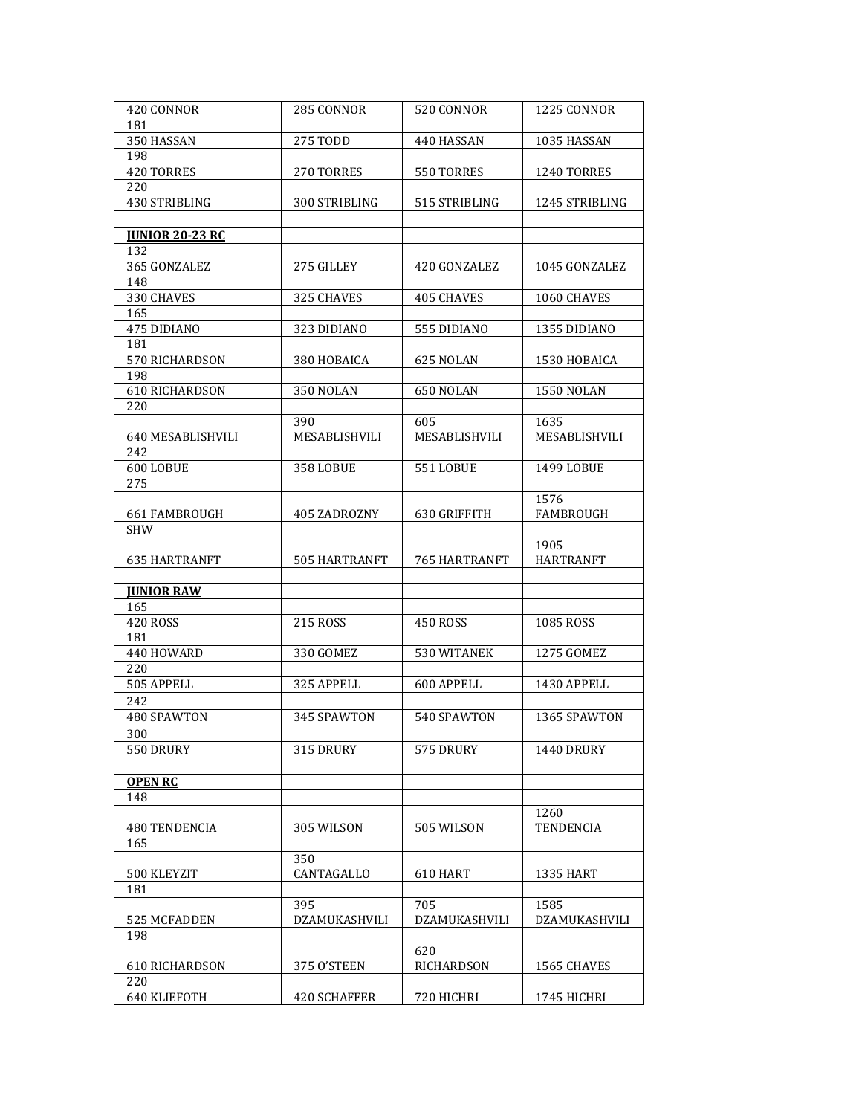| 420 CONNOR             | 285 CONNOR          | 520 CONNOR           | 1225 CONNOR       |
|------------------------|---------------------|----------------------|-------------------|
| 181                    |                     |                      |                   |
| 350 HASSAN             | 275 TODD            | 440 HASSAN           | 1035 HASSAN       |
| 198                    |                     |                      |                   |
| 420 TORRES             | 270 TORRES          | 550 TORRES           | 1240 TORRES       |
|                        |                     |                      |                   |
| 220                    |                     |                      |                   |
| 430 STRIBLING          | 300 STRIBLING       | 515 STRIBLING        | 1245 STRIBLING    |
|                        |                     |                      |                   |
| <b>JUNIOR 20-23 RC</b> |                     |                      |                   |
| 132                    |                     |                      |                   |
| 365 GONZALEZ           | 275 GILLEY          | 420 GONZALEZ         | 1045 GONZALEZ     |
| 148                    |                     |                      |                   |
| 330 CHAVES             | 325 CHAVES          | <b>405 CHAVES</b>    | 1060 CHAVES       |
| 165                    |                     |                      |                   |
| 475 DIDIANO            | 323 DIDIANO         | 555 DIDIANO          | 1355 DIDIANO      |
| 181                    |                     |                      |                   |
|                        |                     |                      |                   |
| 570 RICHARDSON         | 380 HOBAICA         | 625 NOLAN            | 1530 HOBAICA      |
| 198                    |                     |                      |                   |
| 610 RICHARDSON         | 350 NOLAN           | 650 NOLAN            | <b>1550 NOLAN</b> |
| 220                    |                     |                      |                   |
|                        | 390                 | 605                  | 1635              |
| 640 MESABLISHVILI      | MESABLISHVILI       | MESABLISHVILI        | MESABLISHVILI     |
| 242                    |                     |                      |                   |
| 600 LOBUE              | <b>358 LOBUE</b>    | <b>551 LOBUE</b>     | 1499 LOBUE        |
| 275                    |                     |                      |                   |
|                        |                     |                      | 1576              |
|                        |                     |                      |                   |
| 661 FAMBROUGH          | 405 ZADROZNY        | 630 GRIFFITH         | FAMBROUGH         |
| SHW                    |                     |                      |                   |
|                        |                     |                      | 1905              |
| <b>635 HARTRANFT</b>   | 505 HARTRANFT       | <b>765 HARTRANFT</b> | <b>HARTRANFT</b>  |
|                        |                     |                      |                   |
| <b>JUNIOR RAW</b>      |                     |                      |                   |
| 165                    |                     |                      |                   |
| <b>420 ROSS</b>        | 215 ROSS            | <b>450 ROSS</b>      | 1085 ROSS         |
| 181                    |                     |                      |                   |
| 440 HOWARD             | 330 GOMEZ           | 530 WITANEK          | 1275 GOMEZ        |
| 220                    |                     |                      |                   |
|                        |                     |                      | 1430 APPELL       |
| 505 APPELL             | 325 APPELL          | 600 APPELL           |                   |
| 242                    |                     |                      |                   |
| 480 SPAWTON            | 345 SPAWTON         | 540 SPAWTON          | 1365 SPAWTON      |
| 300                    |                     |                      |                   |
| 550 DRURY              | 315 DRURY           | 575 DRURY            | 1440 DRURY        |
|                        |                     |                      |                   |
| <b>OPEN RC</b>         |                     |                      |                   |
| 148                    |                     |                      |                   |
|                        |                     |                      |                   |
|                        |                     |                      | 1260              |
| 480 TENDENCIA          | 305 WILSON          | 505 WILSON           | TENDENCIA         |
| 165                    |                     |                      |                   |
|                        | 350                 |                      |                   |
| 500 KLEYZIT            | CANTAGALLO          | 610 HART             | <b>1335 HART</b>  |
| 181                    |                     |                      |                   |
|                        | 395                 | 705                  | 1585              |
| 525 MCFADDEN           | DZAMUKASHVILI       | DZAMUKASHVILI        | DZAMUKASHVILI     |
| 198                    |                     |                      |                   |
|                        |                     | 620                  |                   |
| 610 RICHARDSON         | 375 O'STEEN         | RICHARDSON           | 1565 CHAVES       |
|                        |                     |                      |                   |
| 220                    |                     |                      |                   |
| 640 KLIEFOTH           | <b>420 SCHAFFER</b> | 720 HICHRI           | 1745 HICHRI       |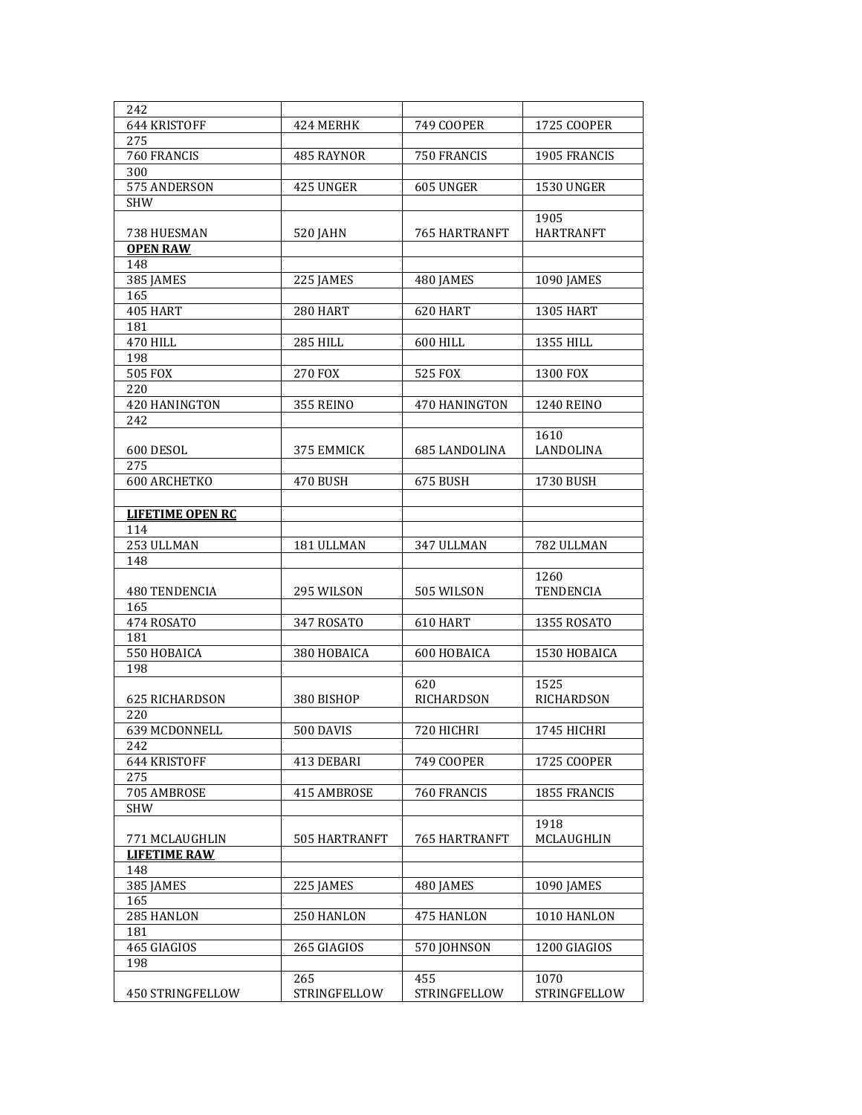| 242                     |                     |                   |                   |
|-------------------------|---------------------|-------------------|-------------------|
| 644 KRISTOFF            | 424 MERHK           | 749 COOPER        | 1725 COOPER       |
| 275                     |                     |                   |                   |
| 760 FRANCIS             | 485 RAYNOR          | 750 FRANCIS       | 1905 FRANCIS      |
| 300                     |                     |                   |                   |
| 575 ANDERSON            | 425 UNGER           | 605 UNGER         | <b>1530 UNGER</b> |
| <b>SHW</b>              |                     |                   |                   |
|                         |                     |                   | 1905              |
| 738 HUESMAN             | <b>520 JAHN</b>     | 765 HARTRANFT     | <b>HARTRANFT</b>  |
| <b>OPEN RAW</b>         |                     |                   |                   |
| 148                     |                     |                   |                   |
|                         |                     |                   |                   |
| 385 JAMES<br>165        | 225 JAMES           | 480 JAMES         | <b>1090 JAMES</b> |
|                         |                     |                   |                   |
| 405 HART                | 280 HART            | 620 HART          | <b>1305 HART</b>  |
| 181                     |                     |                   |                   |
| <b>470 HILL</b>         | <b>285 HILL</b>     | 600 HILL          | 1355 HILL         |
| 198                     |                     |                   |                   |
| <b>505 FOX</b>          | 270 FOX             | 525 FOX           | 1300 FOX          |
| 220                     |                     |                   |                   |
| <b>420 HANINGTON</b>    | <b>355 REINO</b>    | 470 HANINGTON     | <b>1240 REINO</b> |
| 242                     |                     |                   |                   |
|                         |                     |                   | 1610              |
| 600 DESOL               | 375 EMMICK          | 685 LANDOLINA     | LANDOLINA         |
| 275                     |                     |                   |                   |
| <b>600 ARCHETKO</b>     | 470 BUSH            | 675 BUSH          | 1730 BUSH         |
|                         |                     |                   |                   |
| <b>LIFETIME OPEN RC</b> |                     |                   |                   |
| 114                     |                     |                   |                   |
| 253 ULLMAN              | 181 ULLMAN          | 347 ULLMAN        | 782 ULLMAN        |
| 148                     |                     |                   |                   |
|                         |                     |                   | 1260              |
| 480 TENDENCIA           | 295 WILSON          | 505 WILSON        | <b>TENDENCIA</b>  |
| 165                     |                     |                   |                   |
| 474 ROSATO              | 347 ROSATO          | 610 HART          | 1355 ROSATO       |
| 181                     |                     |                   |                   |
| 550 HOBAICA             | 380 HOBAICA         | 600 HOBAICA       | 1530 HOBAICA      |
| 198                     |                     |                   |                   |
|                         |                     | 620               | 1525              |
| <b>625 RICHARDSON</b>   | 380 BISHOP          | <b>RICHARDSON</b> | RICHARDSON        |
| 220                     |                     |                   |                   |
| 639 MCDONNELL           | <b>500 DAVIS</b>    | 720 HICHRI        | 1745 HICHRI       |
| 242                     |                     |                   |                   |
| 644 KRISTOFF            | 413 DEBARI          | 749 COOPER        | 1725 COOPER       |
| 275                     |                     |                   |                   |
| 705 AMBROSE             | 415 AMBROSE         | 760 FRANCIS       | 1855 FRANCIS      |
| <b>SHW</b>              |                     |                   |                   |
|                         |                     |                   | 1918              |
| 771 MCLAUGHLIN          | 505 HARTRANFT       | 765 HARTRANFT     | MCLAUGHLIN        |
| <b>LIFETIME RAW</b>     |                     |                   |                   |
| 148                     |                     |                   |                   |
| 385 JAMES               | 225 IAMES           | 480 JAMES         | 1090 JAMES        |
| 165                     |                     |                   |                   |
| 285 HANLON              | 250 HANLON          | 475 HANLON        | 1010 HANLON       |
| 181                     |                     |                   |                   |
| 465 GIAGIOS             | 265 GIAGIOS         | 570 JOHNSON       | 1200 GIAGIOS      |
| 198                     |                     |                   |                   |
|                         | 265                 | 455               | 1070              |
| <b>450 STRINGFELLOW</b> | <b>STRINGFELLOW</b> | STRINGFELLOW      | STRINGFELLOW      |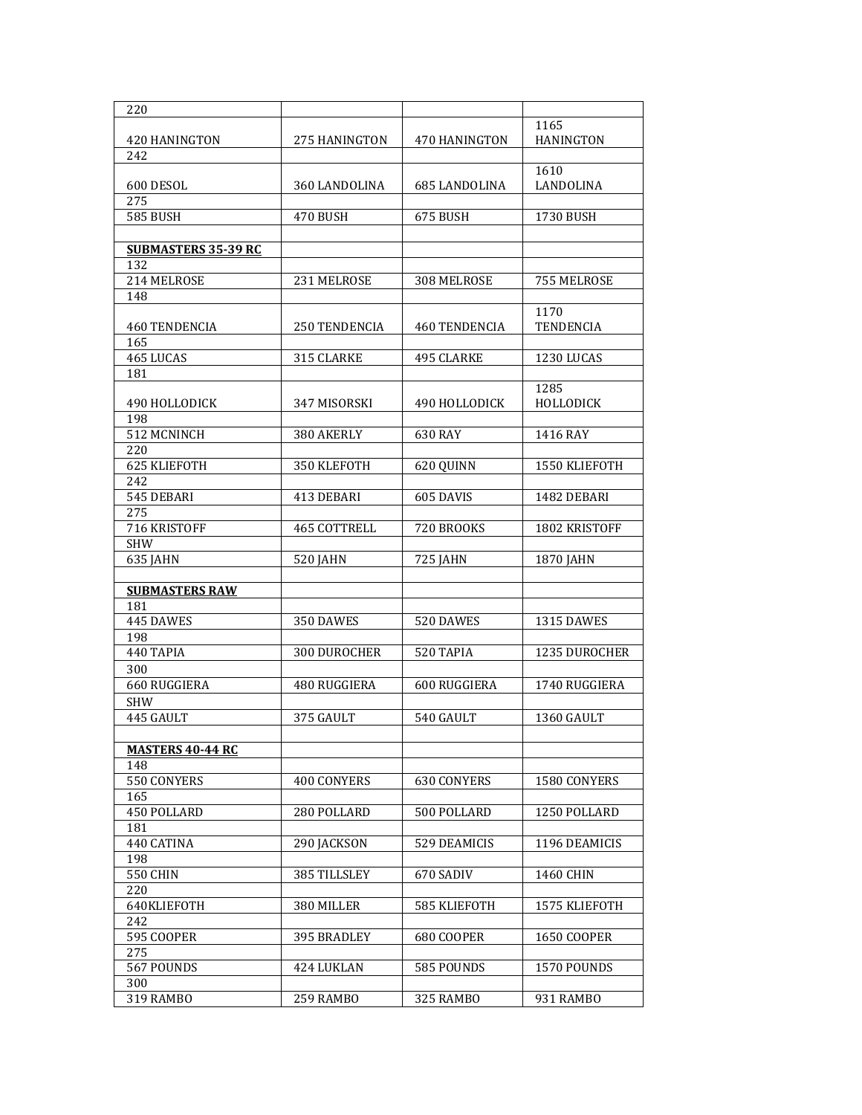| 220                        |                    |                      |                      |
|----------------------------|--------------------|----------------------|----------------------|
|                            |                    |                      | 1165                 |
| 420 HANINGTON              | 275 HANINGTON      | 470 HANINGTON        | <b>HANINGTON</b>     |
| 242                        |                    |                      |                      |
|                            |                    |                      | 1610                 |
| 600 DESOL                  | 360 LANDOLINA      | <b>685 LANDOLINA</b> | LANDOLINA            |
| 275                        |                    |                      |                      |
| <b>585 BUSH</b>            | 470 BUSH           | 675 BUSH             | 1730 BUSH            |
|                            |                    |                      |                      |
| <b>SUBMASTERS 35-39 RC</b> |                    |                      |                      |
| 132                        |                    |                      |                      |
| 214 MELROSE                | 231 MELROSE        | 308 MELROSE          | 755 MELROSE          |
| 148                        |                    |                      |                      |
|                            |                    |                      | 1170                 |
| 460 TENDENCIA              | 250 TENDENCIA      | 460 TENDENCIA        | <b>TENDENCIA</b>     |
| 165                        |                    |                      |                      |
| 465 LUCAS                  | 315 CLARKE         | 495 CLARKE           | 1230 LUCAS           |
| 181                        |                    |                      |                      |
|                            |                    |                      | 1285                 |
| 490 HOLLODICK              | 347 MISORSKI       | 490 HOLLODICK        | HOLLODICK            |
| 198                        |                    |                      |                      |
| 512 MCNINCH                | 380 AKERLY         | 630 RAY              | 1416 RAY             |
| 220                        |                    |                      |                      |
| 625 KLIEFOTH               | 350 KLEFOTH        | 620 QUINN            | 1550 KLIEFOTH        |
| 242                        |                    |                      |                      |
| 545 DEBARI                 | 413 DEBARI         | 605 DAVIS            | 1482 DEBARI          |
| 275                        |                    |                      |                      |
| 716 KRISTOFF               | 465 COTTRELL       | 720 BROOKS           | 1802 KRISTOFF        |
| <b>SHW</b>                 |                    |                      |                      |
| 635 JAHN                   | 520 JAHN           | 725 JAHN             | 1870 JAHN            |
| <b>SUBMASTERS RAW</b>      |                    |                      |                      |
| 181                        |                    |                      |                      |
| 445 DAWES                  | 350 DAWES          | 520 DAWES            | 1315 DAWES           |
| 198                        |                    |                      |                      |
| 440 TAPIA                  | 300 DUROCHER       | 520 TAPIA            | <b>1235 DUROCHER</b> |
| 300                        |                    |                      |                      |
| 660 RUGGIERA               | 480 RUGGIERA       | 600 RUGGIERA         | 1740 RUGGIERA        |
| <b>SHW</b>                 |                    |                      |                      |
| 445 GAULT                  | 375 GAULT          | 540 GAULT            | 1360 GAULT           |
|                            |                    |                      |                      |
| <b>MASTERS 40-44 RC</b>    |                    |                      |                      |
| 148                        |                    |                      |                      |
| 550 CONYERS                | <b>400 CONYERS</b> | <b>630 CONYERS</b>   | 1580 CONYERS         |
| 165                        |                    |                      |                      |
| 450 POLLARD                | 280 POLLARD        | 500 POLLARD          | 1250 POLLARD         |
| 181                        |                    |                      |                      |
| 440 CATINA                 | 290 JACKSON        | 529 DEAMICIS         | 1196 DEAMICIS        |
| 198                        |                    |                      |                      |
| <b>550 CHIN</b>            | 385 TILLSLEY       | 670 SADIV            | 1460 CHIN            |
| 220                        |                    |                      |                      |
| 640KLIEFOTH                | 380 MILLER         | 585 KLIEFOTH         | 1575 KLIEFOTH        |
| 242                        |                    |                      |                      |
| 595 COOPER                 | 395 BRADLEY        | 680 COOPER           | 1650 COOPER          |
| 275                        |                    |                      |                      |
| 567 POUNDS                 | 424 LUKLAN         | 585 POUNDS           | 1570 POUNDS          |
| 300                        |                    |                      |                      |
| 319 RAMBO                  | 259 RAMBO          | 325 RAMBO            | 931 RAMBO            |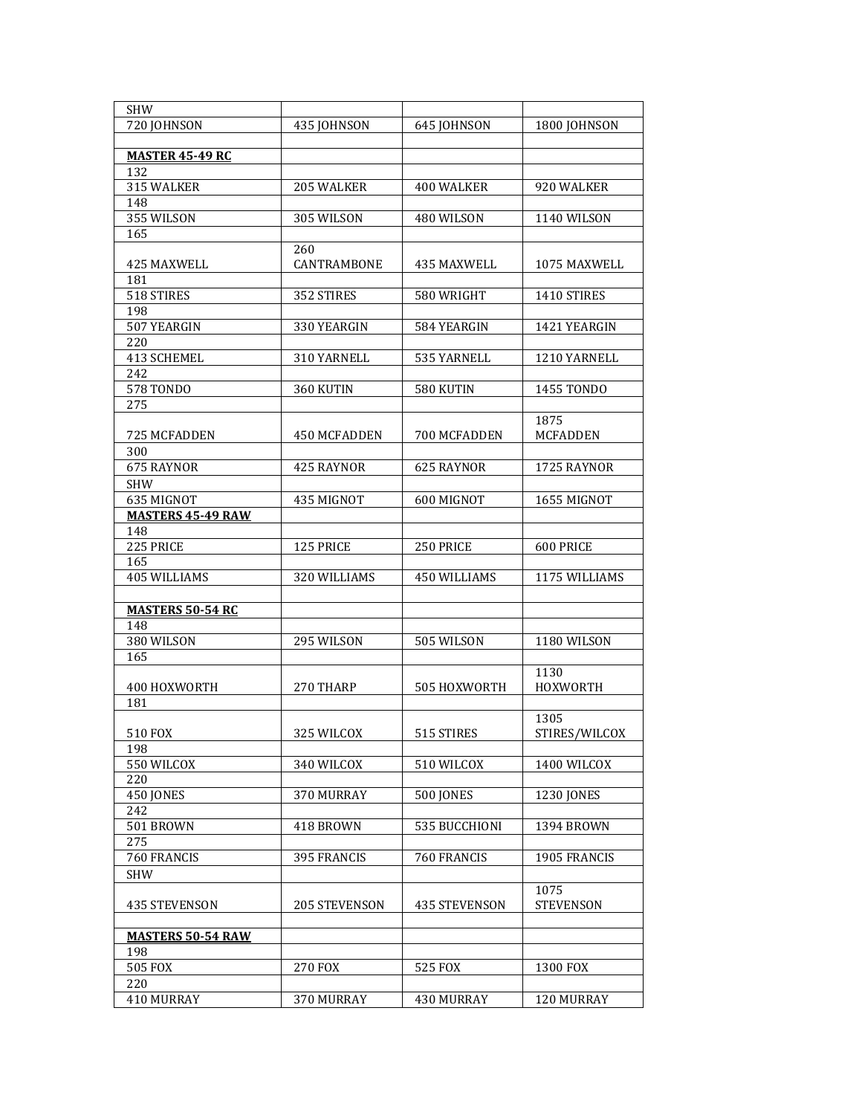| <b>SHW</b>               |                |                  |                    |
|--------------------------|----------------|------------------|--------------------|
| 720 JOHNSON              | 435 JOHNSON    | 645 JOHNSON      | 1800 JOHNSON       |
|                          |                |                  |                    |
| <b>MASTER 45-49 RC</b>   |                |                  |                    |
| 132                      |                |                  |                    |
| 315 WALKER               | 205 WALKER     | 400 WALKER       | 920 WALKER         |
| 148                      |                |                  |                    |
| 355 WILSON               | 305 WILSON     | 480 WILSON       | <b>1140 WILSON</b> |
| 165                      |                |                  |                    |
|                          | 260            |                  |                    |
| 425 MAXWELL              | CANTRAMBONE    | 435 MAXWELL      | 1075 MAXWELL       |
| 181                      |                |                  |                    |
| 518 STIRES               | 352 STIRES     | 580 WRIGHT       | 1410 STIRES        |
| 198                      |                |                  |                    |
| 507 YEARGIN              | 330 YEARGIN    | 584 YEARGIN      | 1421 YEARGIN       |
| 220                      |                |                  |                    |
| 413 SCHEMEL              | 310 YARNELL    | 535 YARNELL      | 1210 YARNELL       |
| 242                      |                |                  |                    |
| <b>578 TONDO</b>         | 360 KUTIN      | 580 KUTIN        | 1455 TONDO         |
| 275                      |                |                  |                    |
|                          |                |                  | 1875               |
| 725 MCFADDEN             | 450 MCFADDEN   | 700 MCFADDEN     | <b>MCFADDEN</b>    |
| 300                      |                |                  |                    |
| 675 RAYNOR               | 425 RAYNOR     | 625 RAYNOR       | 1725 RAYNOR        |
|                          |                |                  |                    |
| <b>SHW</b>               |                |                  |                    |
| 635 MIGNOT               | 435 MIGNOT     | 600 MIGNOT       | 1655 MIGNOT        |
| <b>MASTERS 45-49 RAW</b> |                |                  |                    |
| 148                      |                |                  |                    |
| 225 PRICE                | 125 PRICE      | 250 PRICE        | 600 PRICE          |
| 165                      |                |                  |                    |
| 405 WILLIAMS             | 320 WILLIAMS   | 450 WILLIAMS     | 1175 WILLIAMS      |
|                          |                |                  |                    |
| <b>MASTERS 50-54 RC</b>  |                |                  |                    |
| 148                      |                |                  |                    |
| 380 WILSON               | 295 WILSON     | 505 WILSON       | 1180 WILSON        |
| 165                      |                |                  |                    |
|                          |                |                  | 1130               |
| 400 HOXWORTH             | 270 THARP      | 505 HOXWORTH     | <b>HOXWORTH</b>    |
| 181                      |                |                  |                    |
|                          |                |                  | 1305               |
| 510 FOX                  | 325 WILCOX     | 515 STIRES       | STIRES/WILCOX      |
| 198                      |                |                  |                    |
| 550 WILCOX               | 340 WILCOX     | 510 WILCOX       | 1400 WILCOX        |
| 220                      |                |                  |                    |
| 450 JONES                | 370 MURRAY     | <b>500 JONES</b> | 1230 JONES         |
| 242                      |                |                  |                    |
| 501 BROWN                | 418 BROWN      | 535 BUCCHIONI    | 1394 BROWN         |
| 275                      |                |                  |                    |
| 760 FRANCIS              | 395 FRANCIS    | 760 FRANCIS      | 1905 FRANCIS       |
| <b>SHW</b>               |                |                  |                    |
|                          |                |                  | 1075               |
| <b>435 STEVENSON</b>     | 205 STEVENSON  | 435 STEVENSON    | <b>STEVENSON</b>   |
|                          |                |                  |                    |
| <b>MASTERS 50-54 RAW</b> |                |                  |                    |
| 198                      |                |                  |                    |
| 505 FOX                  | <b>270 FOX</b> | 525 FOX          | 1300 FOX           |
| 220                      |                |                  |                    |
| 410 MURRAY               | 370 MURRAY     | 430 MURRAY       | 120 MURRAY         |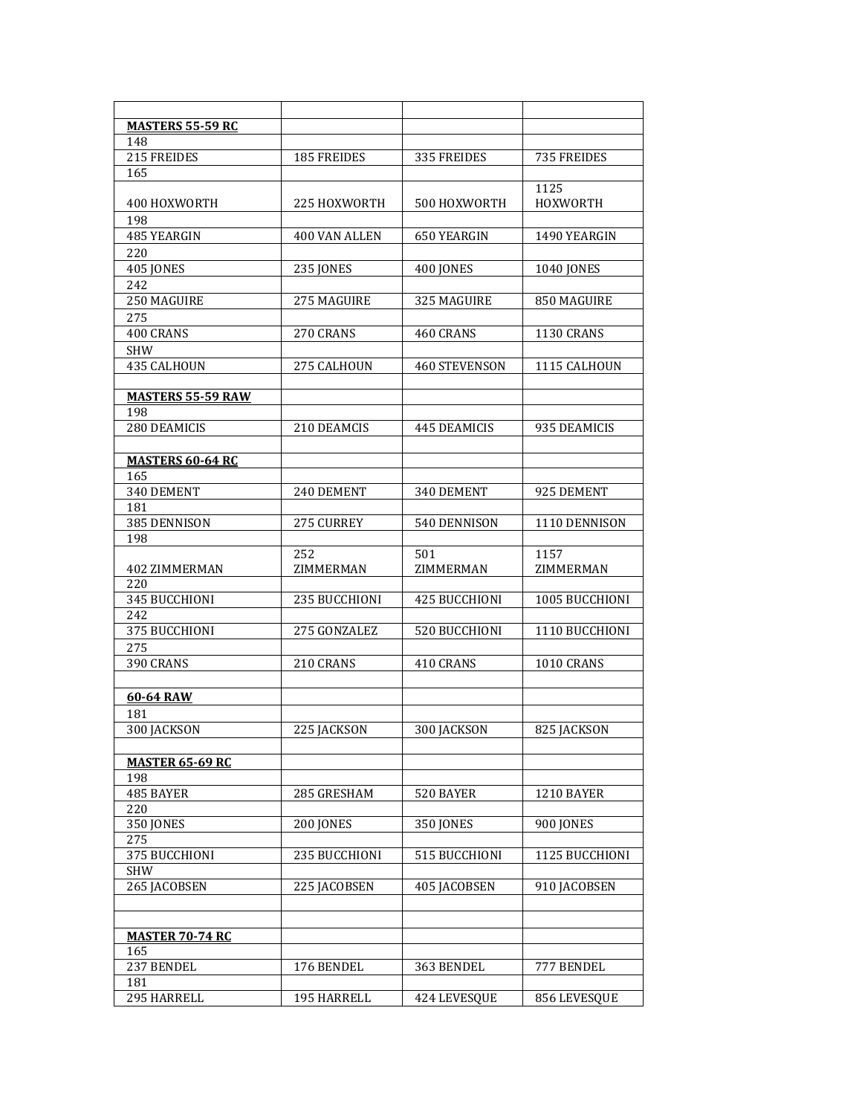| <b>MASTERS 55-59 RC</b><br>148<br>215 FREIDES<br>185 FREIDES<br>335 FREIDES<br>735 FREIDES<br>165<br>1125<br>400 HOXWORTH<br>225 HOXWORTH<br>500 HOXWORTH<br>HOXWORTH<br>198<br>485 YEARGIN<br>400 VAN ALLEN<br>650 YEARGIN<br>1490 YEARGIN<br>220<br>405 JONES<br><b>235 JONES</b><br>400 JONES<br><b>1040 JONES</b><br>242<br>250 MAGUIRE<br>275 MAGUIRE<br>325 MAGUIRE<br>850 MAGUIRE<br>275<br>400 CRANS<br>270 CRANS<br>460 CRANS<br><b>1130 CRANS</b><br><b>SHW</b><br>435 CALHOUN<br>275 CALHOUN<br><b>460 STEVENSON</b><br>1115 CALHOUN<br><b>MASTERS 55-59 RAW</b><br>198<br>280 DEAMICIS<br>210 DEAMCIS<br>445 DEAMICIS<br>935 DEAMICIS<br><b>MASTERS 60-64 RC</b><br>165<br>340 DEMENT<br>240 DEMENT<br>340 DEMENT<br>925 DEMENT<br>181<br>385 DENNISON<br>275 CURREY<br>540 DENNISON<br>1110 DENNISON<br>198<br>252<br>501<br>1157<br>ZIMMERMAN<br>ZIMMERMAN<br>ZIMMERMAN<br><b>402 ZIMMERMAN</b><br>220<br>345 BUCCHIONI<br>235 BUCCHIONI<br>425 BUCCHIONI<br>1005 BUCCHIONI<br>242<br>375 BUCCHIONI<br>275 GONZALEZ<br>520 BUCCHIONI<br>1110 BUCCHIONI<br>275<br>390 CRANS<br>210 CRANS<br>410 CRANS<br>1010 CRANS<br>60-64 RAW<br>181<br>300 JACKSON<br>225 IACKSON<br>300 IACKSON<br>825 JACKSON<br><b>MASTER 65-69 RC</b><br>198<br>285 GRESHAM<br>520 BAYER<br>485 BAYER<br>1210 BAYER<br>220<br><b>350 JONES</b><br><b>200 JONES</b><br><b>350 JONES</b><br><b>900 IONES</b><br>275<br>375 BUCCHIONI<br>235 BUCCHIONI<br>515 BUCCHIONI<br>1125 BUCCHIONI<br><b>SHW</b><br>265 JACOBSEN<br>225 IACOBSEN<br>405 IACOBSEN<br>910 IACOBSEN<br><u>MASTER 70-74 RC</u><br>165<br>237 BENDEL<br>176 BENDEL<br>363 BENDEL<br>777 BENDEL<br>181<br>295 HARRELL<br>195 HARRELL<br>424 LEVESQUE<br>856 LEVESQUE |  |  |
|-------------------------------------------------------------------------------------------------------------------------------------------------------------------------------------------------------------------------------------------------------------------------------------------------------------------------------------------------------------------------------------------------------------------------------------------------------------------------------------------------------------------------------------------------------------------------------------------------------------------------------------------------------------------------------------------------------------------------------------------------------------------------------------------------------------------------------------------------------------------------------------------------------------------------------------------------------------------------------------------------------------------------------------------------------------------------------------------------------------------------------------------------------------------------------------------------------------------------------------------------------------------------------------------------------------------------------------------------------------------------------------------------------------------------------------------------------------------------------------------------------------------------------------------------------------------------------------------------------------------------------------------------------------------------------------------------------------------------|--|--|
|                                                                                                                                                                                                                                                                                                                                                                                                                                                                                                                                                                                                                                                                                                                                                                                                                                                                                                                                                                                                                                                                                                                                                                                                                                                                                                                                                                                                                                                                                                                                                                                                                                                                                                                         |  |  |
|                                                                                                                                                                                                                                                                                                                                                                                                                                                                                                                                                                                                                                                                                                                                                                                                                                                                                                                                                                                                                                                                                                                                                                                                                                                                                                                                                                                                                                                                                                                                                                                                                                                                                                                         |  |  |
|                                                                                                                                                                                                                                                                                                                                                                                                                                                                                                                                                                                                                                                                                                                                                                                                                                                                                                                                                                                                                                                                                                                                                                                                                                                                                                                                                                                                                                                                                                                                                                                                                                                                                                                         |  |  |
|                                                                                                                                                                                                                                                                                                                                                                                                                                                                                                                                                                                                                                                                                                                                                                                                                                                                                                                                                                                                                                                                                                                                                                                                                                                                                                                                                                                                                                                                                                                                                                                                                                                                                                                         |  |  |
|                                                                                                                                                                                                                                                                                                                                                                                                                                                                                                                                                                                                                                                                                                                                                                                                                                                                                                                                                                                                                                                                                                                                                                                                                                                                                                                                                                                                                                                                                                                                                                                                                                                                                                                         |  |  |
|                                                                                                                                                                                                                                                                                                                                                                                                                                                                                                                                                                                                                                                                                                                                                                                                                                                                                                                                                                                                                                                                                                                                                                                                                                                                                                                                                                                                                                                                                                                                                                                                                                                                                                                         |  |  |
|                                                                                                                                                                                                                                                                                                                                                                                                                                                                                                                                                                                                                                                                                                                                                                                                                                                                                                                                                                                                                                                                                                                                                                                                                                                                                                                                                                                                                                                                                                                                                                                                                                                                                                                         |  |  |
|                                                                                                                                                                                                                                                                                                                                                                                                                                                                                                                                                                                                                                                                                                                                                                                                                                                                                                                                                                                                                                                                                                                                                                                                                                                                                                                                                                                                                                                                                                                                                                                                                                                                                                                         |  |  |
|                                                                                                                                                                                                                                                                                                                                                                                                                                                                                                                                                                                                                                                                                                                                                                                                                                                                                                                                                                                                                                                                                                                                                                                                                                                                                                                                                                                                                                                                                                                                                                                                                                                                                                                         |  |  |
|                                                                                                                                                                                                                                                                                                                                                                                                                                                                                                                                                                                                                                                                                                                                                                                                                                                                                                                                                                                                                                                                                                                                                                                                                                                                                                                                                                                                                                                                                                                                                                                                                                                                                                                         |  |  |
|                                                                                                                                                                                                                                                                                                                                                                                                                                                                                                                                                                                                                                                                                                                                                                                                                                                                                                                                                                                                                                                                                                                                                                                                                                                                                                                                                                                                                                                                                                                                                                                                                                                                                                                         |  |  |
|                                                                                                                                                                                                                                                                                                                                                                                                                                                                                                                                                                                                                                                                                                                                                                                                                                                                                                                                                                                                                                                                                                                                                                                                                                                                                                                                                                                                                                                                                                                                                                                                                                                                                                                         |  |  |
|                                                                                                                                                                                                                                                                                                                                                                                                                                                                                                                                                                                                                                                                                                                                                                                                                                                                                                                                                                                                                                                                                                                                                                                                                                                                                                                                                                                                                                                                                                                                                                                                                                                                                                                         |  |  |
|                                                                                                                                                                                                                                                                                                                                                                                                                                                                                                                                                                                                                                                                                                                                                                                                                                                                                                                                                                                                                                                                                                                                                                                                                                                                                                                                                                                                                                                                                                                                                                                                                                                                                                                         |  |  |
|                                                                                                                                                                                                                                                                                                                                                                                                                                                                                                                                                                                                                                                                                                                                                                                                                                                                                                                                                                                                                                                                                                                                                                                                                                                                                                                                                                                                                                                                                                                                                                                                                                                                                                                         |  |  |
|                                                                                                                                                                                                                                                                                                                                                                                                                                                                                                                                                                                                                                                                                                                                                                                                                                                                                                                                                                                                                                                                                                                                                                                                                                                                                                                                                                                                                                                                                                                                                                                                                                                                                                                         |  |  |
|                                                                                                                                                                                                                                                                                                                                                                                                                                                                                                                                                                                                                                                                                                                                                                                                                                                                                                                                                                                                                                                                                                                                                                                                                                                                                                                                                                                                                                                                                                                                                                                                                                                                                                                         |  |  |
|                                                                                                                                                                                                                                                                                                                                                                                                                                                                                                                                                                                                                                                                                                                                                                                                                                                                                                                                                                                                                                                                                                                                                                                                                                                                                                                                                                                                                                                                                                                                                                                                                                                                                                                         |  |  |
|                                                                                                                                                                                                                                                                                                                                                                                                                                                                                                                                                                                                                                                                                                                                                                                                                                                                                                                                                                                                                                                                                                                                                                                                                                                                                                                                                                                                                                                                                                                                                                                                                                                                                                                         |  |  |
|                                                                                                                                                                                                                                                                                                                                                                                                                                                                                                                                                                                                                                                                                                                                                                                                                                                                                                                                                                                                                                                                                                                                                                                                                                                                                                                                                                                                                                                                                                                                                                                                                                                                                                                         |  |  |
|                                                                                                                                                                                                                                                                                                                                                                                                                                                                                                                                                                                                                                                                                                                                                                                                                                                                                                                                                                                                                                                                                                                                                                                                                                                                                                                                                                                                                                                                                                                                                                                                                                                                                                                         |  |  |
|                                                                                                                                                                                                                                                                                                                                                                                                                                                                                                                                                                                                                                                                                                                                                                                                                                                                                                                                                                                                                                                                                                                                                                                                                                                                                                                                                                                                                                                                                                                                                                                                                                                                                                                         |  |  |
|                                                                                                                                                                                                                                                                                                                                                                                                                                                                                                                                                                                                                                                                                                                                                                                                                                                                                                                                                                                                                                                                                                                                                                                                                                                                                                                                                                                                                                                                                                                                                                                                                                                                                                                         |  |  |
|                                                                                                                                                                                                                                                                                                                                                                                                                                                                                                                                                                                                                                                                                                                                                                                                                                                                                                                                                                                                                                                                                                                                                                                                                                                                                                                                                                                                                                                                                                                                                                                                                                                                                                                         |  |  |
|                                                                                                                                                                                                                                                                                                                                                                                                                                                                                                                                                                                                                                                                                                                                                                                                                                                                                                                                                                                                                                                                                                                                                                                                                                                                                                                                                                                                                                                                                                                                                                                                                                                                                                                         |  |  |
|                                                                                                                                                                                                                                                                                                                                                                                                                                                                                                                                                                                                                                                                                                                                                                                                                                                                                                                                                                                                                                                                                                                                                                                                                                                                                                                                                                                                                                                                                                                                                                                                                                                                                                                         |  |  |
|                                                                                                                                                                                                                                                                                                                                                                                                                                                                                                                                                                                                                                                                                                                                                                                                                                                                                                                                                                                                                                                                                                                                                                                                                                                                                                                                                                                                                                                                                                                                                                                                                                                                                                                         |  |  |
|                                                                                                                                                                                                                                                                                                                                                                                                                                                                                                                                                                                                                                                                                                                                                                                                                                                                                                                                                                                                                                                                                                                                                                                                                                                                                                                                                                                                                                                                                                                                                                                                                                                                                                                         |  |  |
|                                                                                                                                                                                                                                                                                                                                                                                                                                                                                                                                                                                                                                                                                                                                                                                                                                                                                                                                                                                                                                                                                                                                                                                                                                                                                                                                                                                                                                                                                                                                                                                                                                                                                                                         |  |  |
|                                                                                                                                                                                                                                                                                                                                                                                                                                                                                                                                                                                                                                                                                                                                                                                                                                                                                                                                                                                                                                                                                                                                                                                                                                                                                                                                                                                                                                                                                                                                                                                                                                                                                                                         |  |  |
|                                                                                                                                                                                                                                                                                                                                                                                                                                                                                                                                                                                                                                                                                                                                                                                                                                                                                                                                                                                                                                                                                                                                                                                                                                                                                                                                                                                                                                                                                                                                                                                                                                                                                                                         |  |  |
|                                                                                                                                                                                                                                                                                                                                                                                                                                                                                                                                                                                                                                                                                                                                                                                                                                                                                                                                                                                                                                                                                                                                                                                                                                                                                                                                                                                                                                                                                                                                                                                                                                                                                                                         |  |  |
|                                                                                                                                                                                                                                                                                                                                                                                                                                                                                                                                                                                                                                                                                                                                                                                                                                                                                                                                                                                                                                                                                                                                                                                                                                                                                                                                                                                                                                                                                                                                                                                                                                                                                                                         |  |  |
|                                                                                                                                                                                                                                                                                                                                                                                                                                                                                                                                                                                                                                                                                                                                                                                                                                                                                                                                                                                                                                                                                                                                                                                                                                                                                                                                                                                                                                                                                                                                                                                                                                                                                                                         |  |  |
|                                                                                                                                                                                                                                                                                                                                                                                                                                                                                                                                                                                                                                                                                                                                                                                                                                                                                                                                                                                                                                                                                                                                                                                                                                                                                                                                                                                                                                                                                                                                                                                                                                                                                                                         |  |  |
|                                                                                                                                                                                                                                                                                                                                                                                                                                                                                                                                                                                                                                                                                                                                                                                                                                                                                                                                                                                                                                                                                                                                                                                                                                                                                                                                                                                                                                                                                                                                                                                                                                                                                                                         |  |  |
|                                                                                                                                                                                                                                                                                                                                                                                                                                                                                                                                                                                                                                                                                                                                                                                                                                                                                                                                                                                                                                                                                                                                                                                                                                                                                                                                                                                                                                                                                                                                                                                                                                                                                                                         |  |  |
|                                                                                                                                                                                                                                                                                                                                                                                                                                                                                                                                                                                                                                                                                                                                                                                                                                                                                                                                                                                                                                                                                                                                                                                                                                                                                                                                                                                                                                                                                                                                                                                                                                                                                                                         |  |  |
|                                                                                                                                                                                                                                                                                                                                                                                                                                                                                                                                                                                                                                                                                                                                                                                                                                                                                                                                                                                                                                                                                                                                                                                                                                                                                                                                                                                                                                                                                                                                                                                                                                                                                                                         |  |  |
|                                                                                                                                                                                                                                                                                                                                                                                                                                                                                                                                                                                                                                                                                                                                                                                                                                                                                                                                                                                                                                                                                                                                                                                                                                                                                                                                                                                                                                                                                                                                                                                                                                                                                                                         |  |  |
|                                                                                                                                                                                                                                                                                                                                                                                                                                                                                                                                                                                                                                                                                                                                                                                                                                                                                                                                                                                                                                                                                                                                                                                                                                                                                                                                                                                                                                                                                                                                                                                                                                                                                                                         |  |  |
|                                                                                                                                                                                                                                                                                                                                                                                                                                                                                                                                                                                                                                                                                                                                                                                                                                                                                                                                                                                                                                                                                                                                                                                                                                                                                                                                                                                                                                                                                                                                                                                                                                                                                                                         |  |  |
|                                                                                                                                                                                                                                                                                                                                                                                                                                                                                                                                                                                                                                                                                                                                                                                                                                                                                                                                                                                                                                                                                                                                                                                                                                                                                                                                                                                                                                                                                                                                                                                                                                                                                                                         |  |  |
|                                                                                                                                                                                                                                                                                                                                                                                                                                                                                                                                                                                                                                                                                                                                                                                                                                                                                                                                                                                                                                                                                                                                                                                                                                                                                                                                                                                                                                                                                                                                                                                                                                                                                                                         |  |  |
|                                                                                                                                                                                                                                                                                                                                                                                                                                                                                                                                                                                                                                                                                                                                                                                                                                                                                                                                                                                                                                                                                                                                                                                                                                                                                                                                                                                                                                                                                                                                                                                                                                                                                                                         |  |  |
|                                                                                                                                                                                                                                                                                                                                                                                                                                                                                                                                                                                                                                                                                                                                                                                                                                                                                                                                                                                                                                                                                                                                                                                                                                                                                                                                                                                                                                                                                                                                                                                                                                                                                                                         |  |  |
|                                                                                                                                                                                                                                                                                                                                                                                                                                                                                                                                                                                                                                                                                                                                                                                                                                                                                                                                                                                                                                                                                                                                                                                                                                                                                                                                                                                                                                                                                                                                                                                                                                                                                                                         |  |  |
|                                                                                                                                                                                                                                                                                                                                                                                                                                                                                                                                                                                                                                                                                                                                                                                                                                                                                                                                                                                                                                                                                                                                                                                                                                                                                                                                                                                                                                                                                                                                                                                                                                                                                                                         |  |  |
|                                                                                                                                                                                                                                                                                                                                                                                                                                                                                                                                                                                                                                                                                                                                                                                                                                                                                                                                                                                                                                                                                                                                                                                                                                                                                                                                                                                                                                                                                                                                                                                                                                                                                                                         |  |  |
|                                                                                                                                                                                                                                                                                                                                                                                                                                                                                                                                                                                                                                                                                                                                                                                                                                                                                                                                                                                                                                                                                                                                                                                                                                                                                                                                                                                                                                                                                                                                                                                                                                                                                                                         |  |  |
|                                                                                                                                                                                                                                                                                                                                                                                                                                                                                                                                                                                                                                                                                                                                                                                                                                                                                                                                                                                                                                                                                                                                                                                                                                                                                                                                                                                                                                                                                                                                                                                                                                                                                                                         |  |  |
|                                                                                                                                                                                                                                                                                                                                                                                                                                                                                                                                                                                                                                                                                                                                                                                                                                                                                                                                                                                                                                                                                                                                                                                                                                                                                                                                                                                                                                                                                                                                                                                                                                                                                                                         |  |  |
|                                                                                                                                                                                                                                                                                                                                                                                                                                                                                                                                                                                                                                                                                                                                                                                                                                                                                                                                                                                                                                                                                                                                                                                                                                                                                                                                                                                                                                                                                                                                                                                                                                                                                                                         |  |  |
|                                                                                                                                                                                                                                                                                                                                                                                                                                                                                                                                                                                                                                                                                                                                                                                                                                                                                                                                                                                                                                                                                                                                                                                                                                                                                                                                                                                                                                                                                                                                                                                                                                                                                                                         |  |  |
|                                                                                                                                                                                                                                                                                                                                                                                                                                                                                                                                                                                                                                                                                                                                                                                                                                                                                                                                                                                                                                                                                                                                                                                                                                                                                                                                                                                                                                                                                                                                                                                                                                                                                                                         |  |  |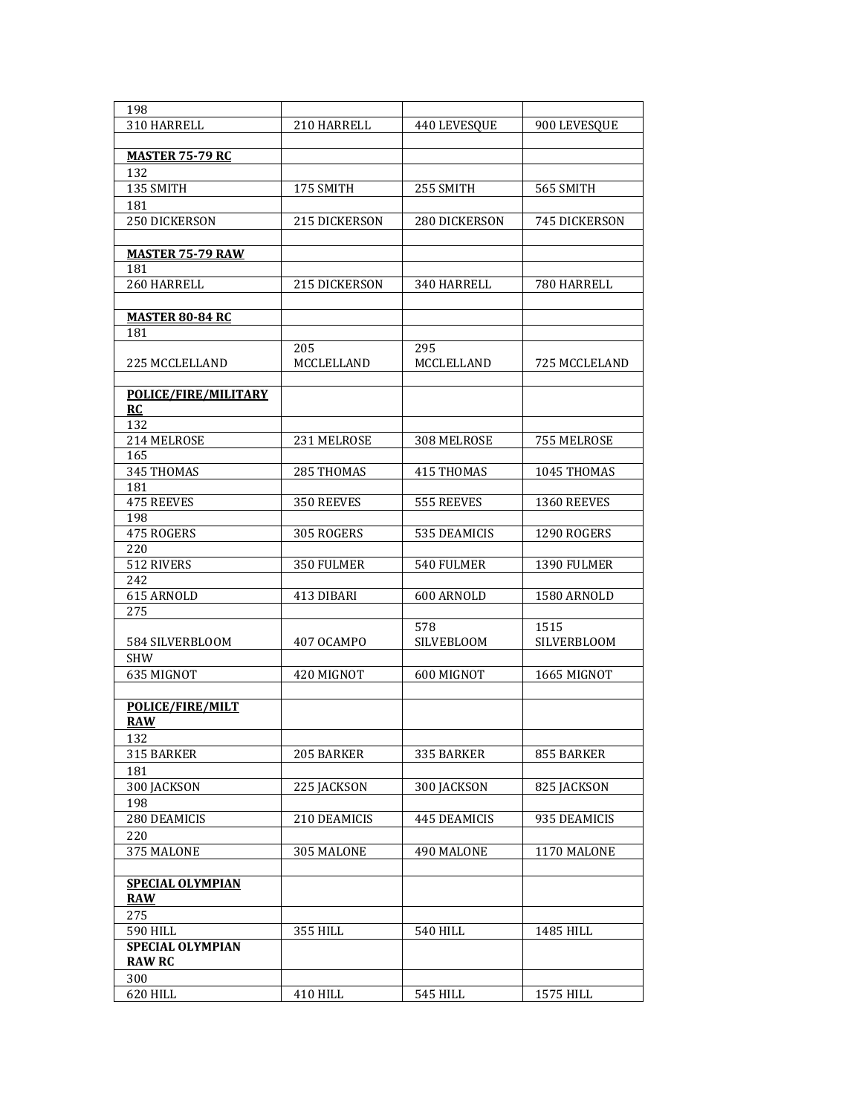| 198                     |               |                 |               |
|-------------------------|---------------|-----------------|---------------|
| 310 HARRELL             | 210 HARRELL   | 440 LEVESQUE    | 900 LEVESQUE  |
|                         |               |                 |               |
| <u>MASTER 75-79 RC</u>  |               |                 |               |
| 132                     |               |                 |               |
| 135 SMITH               | 175 SMITH     | 255 SMITH       | 565 SMITH     |
| 181                     |               |                 |               |
| 250 DICKERSON           | 215 DICKERSON | 280 DICKERSON   | 745 DICKERSON |
|                         |               |                 |               |
| <b>MASTER 75-79 RAW</b> |               |                 |               |
| 181                     |               |                 |               |
| 260 HARRELL             | 215 DICKERSON | 340 HARRELL     | 780 HARRELL   |
|                         |               |                 |               |
| <b>MASTER 80-84 RC</b>  |               |                 |               |
| 181                     |               |                 |               |
|                         | 205           | 295             |               |
| 225 MCCLELLAND          | MCCLELLAND    | MCCLELLAND      | 725 MCCLELAND |
|                         |               |                 |               |
| POLICE/FIRE/MILITARY    |               |                 |               |
| RC                      |               |                 |               |
| 132                     |               |                 |               |
| 214 MELROSE             | 231 MELROSE   | 308 MELROSE     | 755 MELROSE   |
| 165                     |               |                 |               |
| 345 THOMAS              | 285 THOMAS    | 415 THOMAS      | 1045 THOMAS   |
| 181                     |               |                 |               |
| <b>475 REEVES</b>       | 350 REEVES    | 555 REEVES      | 1360 REEVES   |
| 198                     |               |                 |               |
| 475 ROGERS              | 305 ROGERS    | 535 DEAMICIS    | 1290 ROGERS   |
| 220                     |               |                 |               |
| 512 RIVERS              | 350 FULMER    | 540 FULMER      | 1390 FULMER   |
| 242                     |               |                 |               |
| 615 ARNOLD              | 413 DIBARI    | 600 ARNOLD      | 1580 ARNOLD   |
| 275                     |               |                 |               |
|                         |               | 578             | 1515          |
| 584 SILVERBLOOM         | 407 OCAMPO    | SILVEBLOOM      | SILVERBLOOM   |
| <b>SHW</b>              |               |                 |               |
| 635 MIGNOT              | 420 MIGNOT    | 600 MIGNOT      | 1665 MIGNOT   |
|                         |               |                 |               |
| POLICE/FIRE/MILT        |               |                 |               |
| <b>RAW</b>              |               |                 |               |
| 132                     |               |                 |               |
| 315 BARKER              | 205 BARKER    | 335 BARKER      | 855 BARKER    |
| 181                     |               |                 |               |
| 300 JACKSON             | 225 JACKSON   | 300 JACKSON     | 825 JACKSON   |
| 198                     |               |                 |               |
| 280 DEAMICIS            | 210 DEAMICIS  | 445 DEAMICIS    | 935 DEAMICIS  |
| 220                     |               |                 |               |
| 375 MALONE              | 305 MALONE    | 490 MALONE      | 1170 MALONE   |
|                         |               |                 |               |
| <b>SPECIAL OLYMPIAN</b> |               |                 |               |
| <b>RAW</b>              |               |                 |               |
| 275                     |               |                 |               |
| 590 HILL                | 355 HILL      | <b>540 HILL</b> | 1485 HILL     |
| SPECIAL OLYMPIAN        |               |                 |               |
| <b>RAW RC</b>           |               |                 |               |
| 300                     |               |                 |               |
| 620 HILL                | 410 HILL      | <b>545 HILL</b> | 1575 HILL     |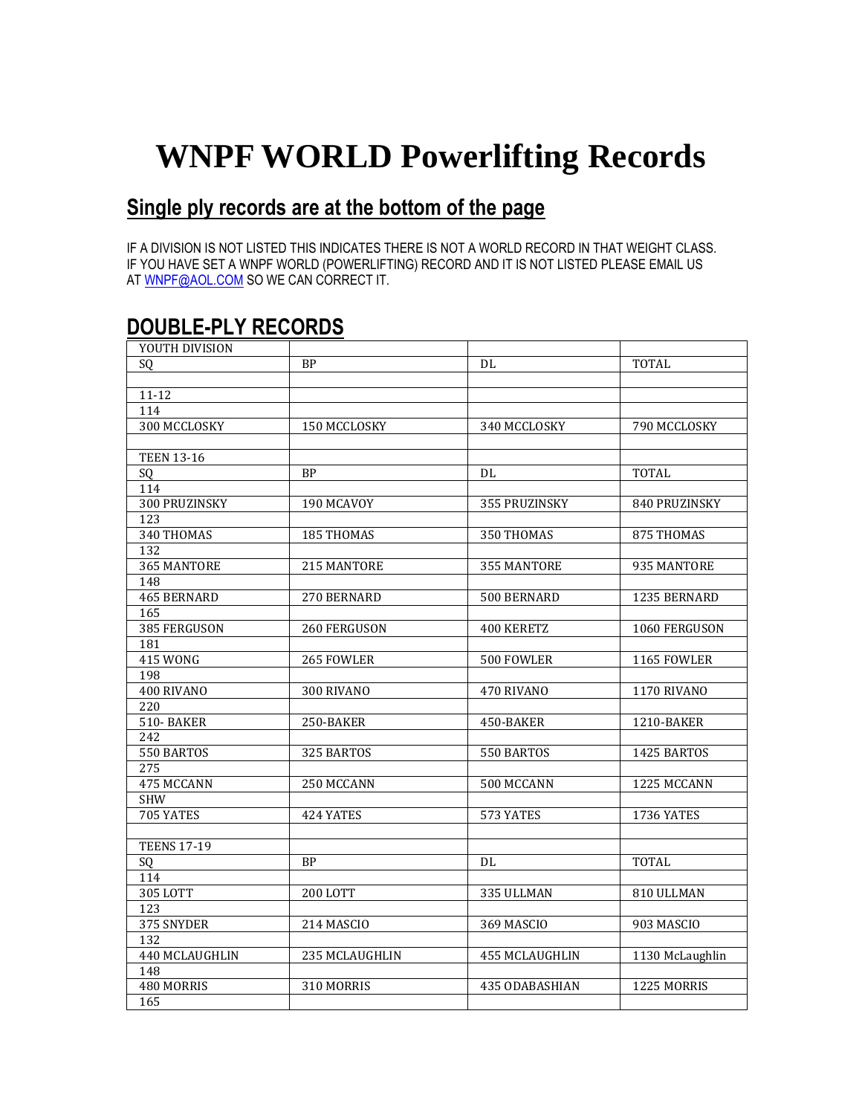## **WNPF WORLD Powerlifting Records**

## **Single ply records are at the bottom of the page**

IF A DIVISION IS NOT LISTED THIS INDICATES THERE IS NOT A WORLD RECORD IN THAT WEIGHT CLASS. IF YOU HAVE SET A WNPF WORLD (POWERLIFTING) RECORD AND IT IS NOT LISTED PLEASE EMAIL US AT [WNPF@AOL.COM](mailto:WNPF@AOL.COM) SO WE CAN CORRECT IT.

## **DOUBLE-PLY RECORDS**

| YOUTH DIVISION     |                |                   |                    |
|--------------------|----------------|-------------------|--------------------|
| SQ                 | <b>BP</b>      | DL                | <b>TOTAL</b>       |
|                    |                |                   |                    |
| $11 - 12$          |                |                   |                    |
| 114                |                |                   |                    |
| 300 MCCLOSKY       | 150 MCCLOSKY   | 340 MCCLOSKY      | 790 MCCLOSKY       |
|                    |                |                   |                    |
| <b>TEEN 13-16</b>  |                |                   |                    |
| SQ                 | <b>BP</b>      | DL.               | <b>TOTAL</b>       |
| 114                |                |                   |                    |
| 300 PRUZINSKY      | 190 MCAVOY     | 355 PRUZINSKY     | 840 PRUZINSKY      |
| 123                |                |                   |                    |
| 340 THOMAS         | 185 THOMAS     | 350 THOMAS        | 875 THOMAS         |
| 132                |                |                   |                    |
| 365 MANTORE        | 215 MANTORE    | 355 MANTORE       | 935 MANTORE        |
| 148                |                |                   |                    |
| 465 BERNARD        | 270 BERNARD    | 500 BERNARD       | 1235 BERNARD       |
| 165                |                |                   |                    |
| 385 FERGUSON       | 260 FERGUSON   | <b>400 KERETZ</b> | 1060 FERGUSON      |
| 181                |                |                   |                    |
| 415 WONG           | 265 FOWLER     | 500 FOWLER        | 1165 FOWLER        |
| 198                |                |                   |                    |
| 400 RIVANO         | 300 RIVANO     | 470 RIVANO        | <b>1170 RIVANO</b> |
| 220                |                |                   |                    |
| <b>510-BAKER</b>   | 250-BAKER      | 450-BAKER         | 1210-BAKER         |
| 242                |                |                   |                    |
| 550 BARTOS         | 325 BARTOS     | 550 BARTOS        | 1425 BARTOS        |
| 275                |                |                   |                    |
| 475 MCCANN         | 250 MCCANN     | 500 MCCANN        | 1225 MCCANN        |
| <b>SHW</b>         |                |                   |                    |
| 705 YATES          | 424 YATES      | 573 YATES         | 1736 YATES         |
|                    |                |                   |                    |
| <b>TEENS 17-19</b> |                |                   |                    |
| SQ                 | <b>BP</b>      | DL                | <b>TOTAL</b>       |
| 114                |                |                   |                    |
| 305 LOTT           | 200 LOTT       | 335 ULLMAN        | 810 ULLMAN         |
| 123                |                |                   |                    |
| 375 SNYDER         | 214 MASCIO     | 369 MASCIO        | 903 MASCIO         |
| 132                |                |                   |                    |
| 440 MCLAUGHLIN     | 235 MCLAUGHLIN | 455 MCLAUGHLIN    | 1130 McLaughlin    |
| 148                |                |                   |                    |
| 480 MORRIS         | 310 MORRIS     | 435 ODABASHIAN    | 1225 MORRIS        |
| 165                |                |                   |                    |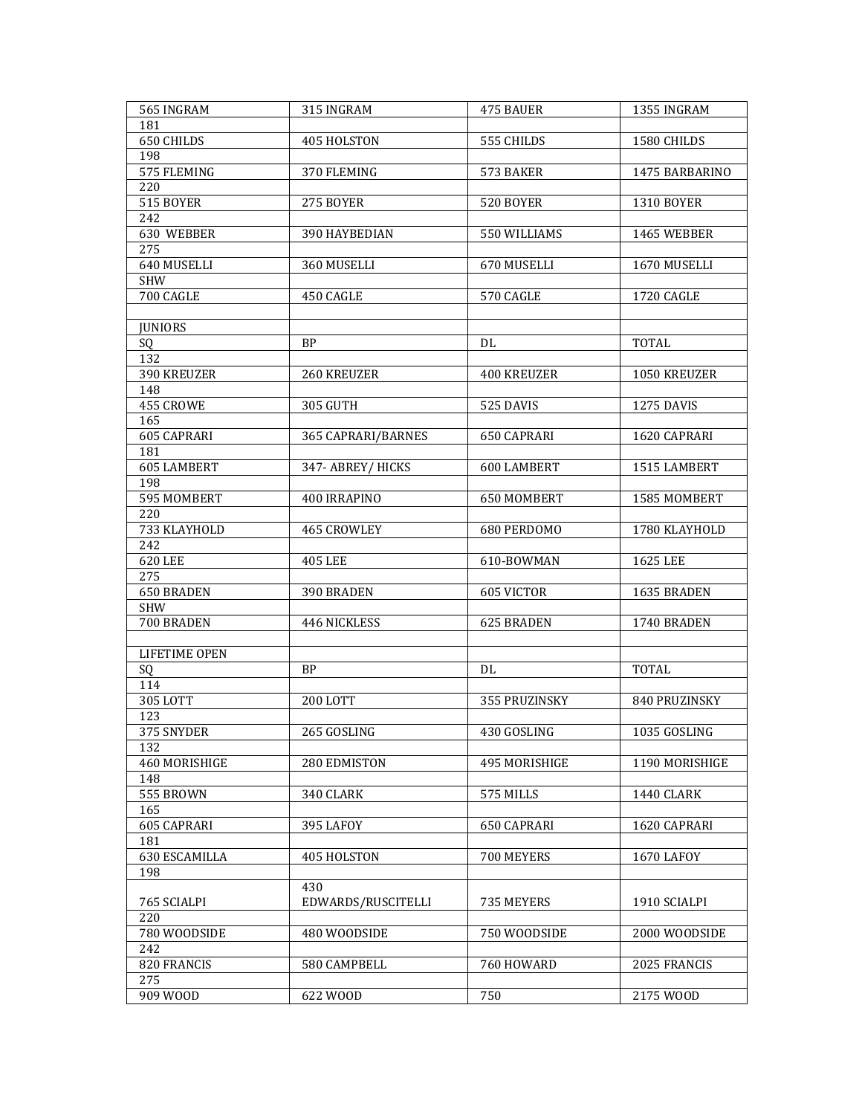| 565 INGRAM         | 315 INGRAM         | 475 BAUER          | 1355 INGRAM       |
|--------------------|--------------------|--------------------|-------------------|
| 181                |                    |                    |                   |
| 650 CHILDS         | 405 HOLSTON        | 555 CHILDS         | 1580 CHILDS       |
| 198                |                    |                    |                   |
| 575 FLEMING        | 370 FLEMING        | 573 BAKER          | 1475 BARBARINO    |
| 220                |                    |                    |                   |
| 515 BOYER          | 275 BOYER          | 520 BOYER          | <b>1310 BOYER</b> |
| 242                |                    |                    |                   |
| 630 WEBBER         | 390 HAYBEDIAN      | 550 WILLIAMS       | 1465 WEBBER       |
| 275                |                    |                    |                   |
| 640 MUSELLI        | 360 MUSELLI        | 670 MUSELLI        | 1670 MUSELLI      |
|                    |                    |                    |                   |
| <b>SHW</b>         |                    | 570 CAGLE          |                   |
| 700 CAGLE          | 450 CAGLE          |                    | 1720 CAGLE        |
|                    |                    |                    |                   |
| <b>JUNIORS</b>     |                    |                    |                   |
| SQ                 | <b>BP</b>          | DL                 | <b>TOTAL</b>      |
| 132                |                    |                    |                   |
| 390 KREUZER        | <b>260 KREUZER</b> | <b>400 KREUZER</b> | 1050 KREUZER      |
| 148                |                    |                    |                   |
| 455 CROWE          | 305 GUTH           | 525 DAVIS          | <b>1275 DAVIS</b> |
| 165                |                    |                    |                   |
| 605 CAPRARI        | 365 CAPRARI/BARNES | 650 CAPRARI        | 1620 CAPRARI      |
| 181                |                    |                    |                   |
| <b>605 LAMBERT</b> | 347- ABREY/HICKS   | <b>600 LAMBERT</b> | 1515 LAMBERT      |
| 198                |                    |                    |                   |
| 595 MOMBERT        | 400 IRRAPINO       | 650 MOMBERT        | 1585 MOMBERT      |
| 220                |                    |                    |                   |
| 733 KLAYHOLD       | 465 CROWLEY        | 680 PERDOMO        | 1780 KLAYHOLD     |
| 242                |                    |                    |                   |
| 620 LEE            | <b>405 LEE</b>     | 610-BOWMAN         | 1625 LEE          |
| 275                |                    |                    |                   |
| <b>650 BRADEN</b>  | 390 BRADEN         | 605 VICTOR         | 1635 BRADEN       |
| SHW                |                    |                    |                   |
| 700 BRADEN         | 446 NICKLESS       | 625 BRADEN         | 1740 BRADEN       |
|                    |                    |                    |                   |
|                    |                    |                    |                   |
| LIFETIME OPEN      |                    |                    |                   |
| SQ                 | <b>BP</b>          | DL                 | <b>TOTAL</b>      |
| 114                |                    |                    |                   |
| 305 LOTT           | 200 LOTT           | 355 PRUZINSKY      | 840 PRUZINSKY     |
| 123                |                    |                    |                   |
| 375 SNYDER         | 265 GOSLING        | 430 GOSLING        | 1035 GOSLING      |
| 132                |                    |                    |                   |
| 460 MORISHIGE      | 280 EDMISTON       | 495 MORISHIGE      | 1190 MORISHIGE    |
| 148                |                    |                    |                   |
| 555 BROWN          | 340 CLARK          | 575 MILLS          | 1440 CLARK        |
| 165                |                    |                    |                   |
| 605 CAPRARI        | 395 LAFOY          | 650 CAPRARI        | 1620 CAPRARI      |
| 181                |                    |                    |                   |
| 630 ESCAMILLA      | 405 HOLSTON        | 700 MEYERS         | <b>1670 LAFOY</b> |
| 198                |                    |                    |                   |
|                    | 430                |                    |                   |
| 765 SCIALPI        | EDWARDS/RUSCITELLI | 735 MEYERS         | 1910 SCIALPI      |
| 220                |                    |                    |                   |
| 780 WOODSIDE       | 480 WOODSIDE       | 750 WOODSIDE       | 2000 WOODSIDE     |
| 242                |                    |                    |                   |
| 820 FRANCIS        | 580 CAMPBELL       | 760 HOWARD         | 2025 FRANCIS      |
| 275                |                    |                    |                   |
| 909 WOOD           | 622 WOOD           | 750                | 2175 WOOD         |
|                    |                    |                    |                   |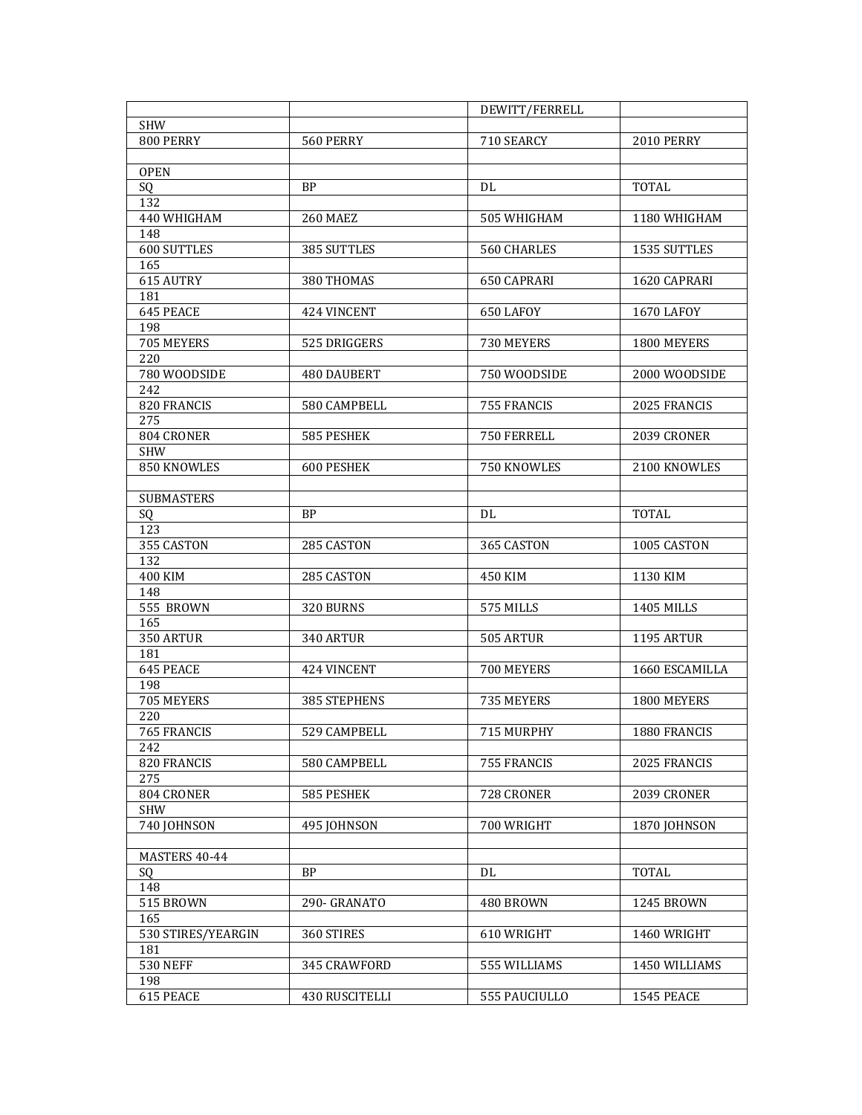|                    |                       | DEWITT/FERRELL |                   |
|--------------------|-----------------------|----------------|-------------------|
| <b>SHW</b>         |                       |                |                   |
| 800 PERRY          | 560 PERRY             | 710 SEARCY     | <b>2010 PERRY</b> |
|                    |                       |                |                   |
| <b>OPEN</b>        |                       |                |                   |
| SQ                 | <b>BP</b>             | DL             | <b>TOTAL</b>      |
| 132                |                       |                |                   |
| 440 WHIGHAM        | 260 MAEZ              | 505 WHIGHAM    | 1180 WHIGHAM      |
| 148                |                       |                |                   |
| 600 SUTTLES        | 385 SUTTLES           | 560 CHARLES    | 1535 SUTTLES      |
| 165                |                       |                |                   |
| 615 AUTRY          | 380 THOMAS            | 650 CAPRARI    | 1620 CAPRARI      |
| 181                |                       |                |                   |
| 645 PEACE          | 424 VINCENT           | 650 LAFOY      | <b>1670 LAFOY</b> |
| 198                |                       |                |                   |
| 705 MEYERS         | 525 DRIGGERS          | 730 MEYERS     | 1800 MEYERS       |
| 220                |                       |                |                   |
| 780 WOODSIDE       | <b>480 DAUBERT</b>    | 750 WOODSIDE   | 2000 WOODSIDE     |
|                    |                       |                |                   |
| 242                |                       |                |                   |
| 820 FRANCIS        | 580 CAMPBELL          | 755 FRANCIS    | 2025 FRANCIS      |
| 275                |                       |                |                   |
| 804 CRONER         | 585 PESHEK            | 750 FERRELL    | 2039 CRONER       |
| <b>SHW</b>         |                       |                |                   |
| 850 KNOWLES        | <b>600 PESHEK</b>     | 750 KNOWLES    | 2100 KNOWLES      |
|                    |                       |                |                   |
| <b>SUBMASTERS</b>  |                       |                |                   |
| SQ                 | <b>BP</b>             | DL             | <b>TOTAL</b>      |
| 123                |                       |                |                   |
| 355 CASTON         | 285 CASTON            | 365 CASTON     | 1005 CASTON       |
| 132                |                       |                |                   |
| 400 KIM            | 285 CASTON            | 450 KIM        | 1130 KIM          |
| 148                |                       |                |                   |
| 555 BROWN          | 320 BURNS             | 575 MILLS      | 1405 MILLS        |
| 165                |                       |                |                   |
| 350 ARTUR          | 340 ARTUR             | 505 ARTUR      | 1195 ARTUR        |
| 181                |                       |                |                   |
| 645 PEACE          | 424 VINCENT           | 700 MEYERS     | 1660 ESCAMILLA    |
| 198                |                       |                |                   |
| 705 MEYERS         | <b>385 STEPHENS</b>   | 735 MEYERS     | 1800 MEYERS       |
| 220                |                       |                |                   |
| 765 FRANCIS        | 529 CAMPBELL          | 715 MURPHY     | 1880 FRANCIS      |
| 242                |                       |                |                   |
| 820 FRANCIS        | 580 CAMPBELL          | 755 FRANCIS    | 2025 FRANCIS      |
| 275                |                       |                |                   |
| 804 CRONER         | 585 PESHEK            | 728 CRONER     | 2039 CRONER       |
| <b>SHW</b>         |                       |                |                   |
| 740 JOHNSON        | 495 JOHNSON           | 700 WRIGHT     | 1870 JOHNSON      |
|                    |                       |                |                   |
|                    |                       |                |                   |
| MASTERS 40-44      |                       |                |                   |
| SQ                 | <b>BP</b>             | DL             | <b>TOTAL</b>      |
| 148                |                       |                |                   |
| 515 BROWN          | 290- GRANATO          | 480 BROWN      | 1245 BROWN        |
| 165                |                       |                |                   |
| 530 STIRES/YEARGIN | 360 STIRES            | 610 WRIGHT     | 1460 WRIGHT       |
| 181                |                       |                |                   |
| <b>530 NEFF</b>    | 345 CRAWFORD          | 555 WILLIAMS   | 1450 WILLIAMS     |
| 198                |                       |                |                   |
| 615 PEACE          | <b>430 RUSCITELLI</b> | 555 PAUCIULLO  | <b>1545 PEACE</b> |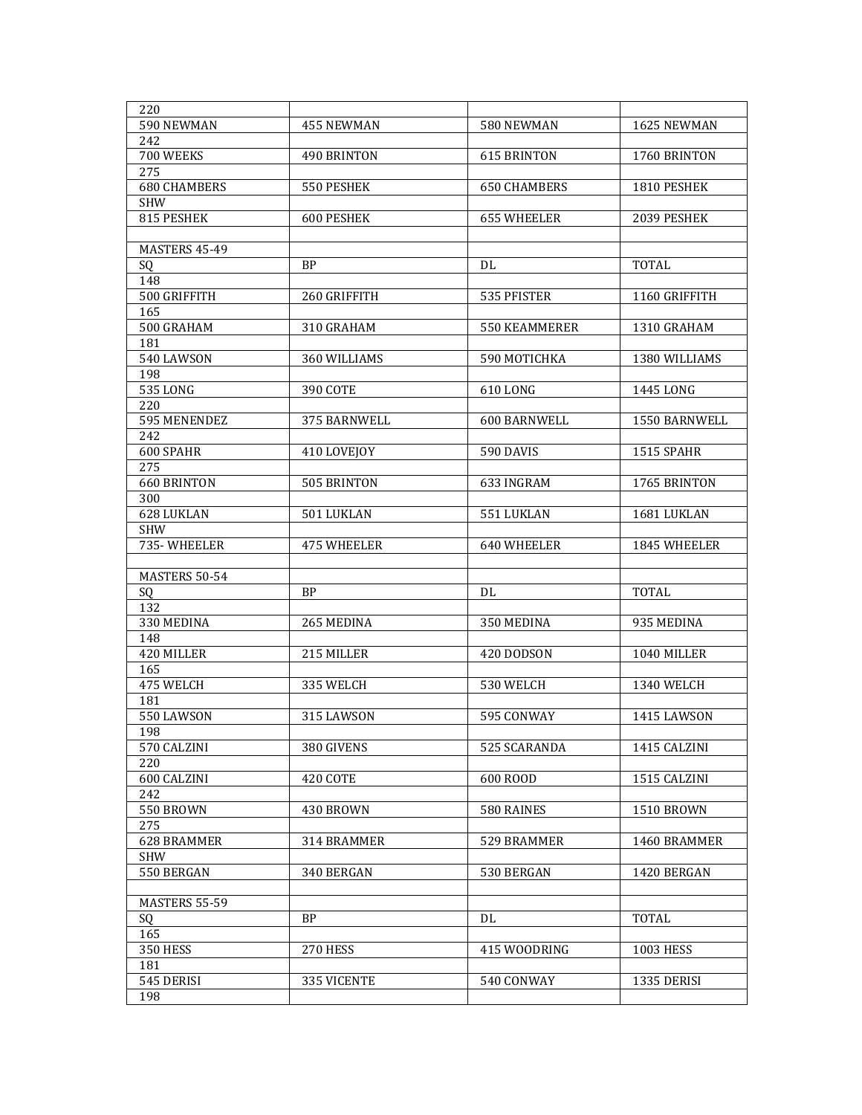| 220                 |                    |                     |                   |
|---------------------|--------------------|---------------------|-------------------|
| 590 NEWMAN          | 455 NEWMAN         | 580 NEWMAN          | 1625 NEWMAN       |
| 242                 |                    |                     |                   |
| 700 WEEKS           | 490 BRINTON        | <b>615 BRINTON</b>  | 1760 BRINTON      |
| 275                 |                    |                     |                   |
| <b>680 CHAMBERS</b> | 550 PESHEK         | <b>650 CHAMBERS</b> | 1810 PESHEK       |
| <b>SHW</b>          |                    |                     |                   |
| 815 PESHEK          | 600 PESHEK         | <b>655 WHEELER</b>  | 2039 PESHEK       |
|                     |                    |                     |                   |
| MASTERS 45-49       |                    |                     |                   |
| SQ.                 | <b>BP</b>          | DL                  | TOTAL             |
| 148                 |                    |                     |                   |
| 500 GRIFFITH        | 260 GRIFFITH       | 535 PFISTER         | 1160 GRIFFITH     |
| 165                 |                    |                     |                   |
| 500 GRAHAM          | 310 GRAHAM         | 550 KEAMMERER       | 1310 GRAHAM       |
| 181                 |                    |                     |                   |
| 540 LAWSON          | 360 WILLIAMS       | 590 MOTICHKA        | 1380 WILLIAMS     |
| 198                 |                    |                     |                   |
| 535 LONG            | 390 COTE           | 610 LONG            | 1445 LONG         |
| 220                 |                    |                     |                   |
| 595 MENENDEZ        | 375 BARNWELL       | 600 BARNWELL        | 1550 BARNWELL     |
| 242                 |                    |                     |                   |
| 600 SPAHR           | 410 LOVEJOY        | 590 DAVIS           | <b>1515 SPAHR</b> |
| 275                 |                    |                     |                   |
| <b>660 BRINTON</b>  | 505 BRINTON        | 633 INGRAM          | 1765 BRINTON      |
| 300                 |                    |                     |                   |
| 628 LUKLAN          | 501 LUKLAN         | 551 LUKLAN          | 1681 LUKLAN       |
| <b>SHW</b>          |                    |                     |                   |
| 735-WHEELER         | <b>475 WHEELER</b> | 640 WHEELER         | 1845 WHEELER      |
|                     |                    |                     |                   |
|                     |                    |                     |                   |
| MASTERS 50-54       |                    |                     |                   |
| SQ                  | <b>BP</b>          | DL                  | <b>TOTAL</b>      |
| 132                 |                    |                     |                   |
| 330 MEDINA          | 265 MEDINA         | 350 MEDINA          | 935 MEDINA        |
| 148                 |                    |                     |                   |
| 420 MILLER          | 215 MILLER         | 420 DODSON          | 1040 MILLER       |
| 165                 |                    |                     |                   |
| 475 WELCH           | 335 WELCH          | 530 WELCH           | <b>1340 WELCH</b> |
| 181                 |                    |                     |                   |
| 550 LAWSON          | 315 LAWSON         | 595 CONWAY          | 1415 LAWSON       |
| 198                 |                    |                     |                   |
| 570 CALZINI         | 380 GIVENS         | 525 SCARANDA        | 1415 CALZINI      |
| 220                 | 420 COTE           | 600 ROOD            |                   |
| 600 CALZINI         |                    |                     | 1515 CALZINI      |
| 242                 | 430 BROWN          |                     |                   |
| 550 BROWN           |                    | 580 RAINES          | <b>1510 BROWN</b> |
| 275<br>628 BRAMMER  | 314 BRAMMER        | 529 BRAMMER         | 1460 BRAMMER      |
|                     |                    |                     |                   |
| SHW<br>550 BERGAN   | 340 BERGAN         | 530 BERGAN          | 1420 BERGAN       |
|                     |                    |                     |                   |
| MASTERS 55-59       |                    |                     |                   |
| SQ                  | <b>BP</b>          | DL                  | <b>TOTAL</b>      |
| 165                 |                    |                     |                   |
| <b>350 HESS</b>     | 270 HESS           | 415 WOODRING        | 1003 HESS         |
| 181                 |                    |                     |                   |
| 545 DERISI          | 335 VICENTE        | 540 CONWAY          | 1335 DERISI       |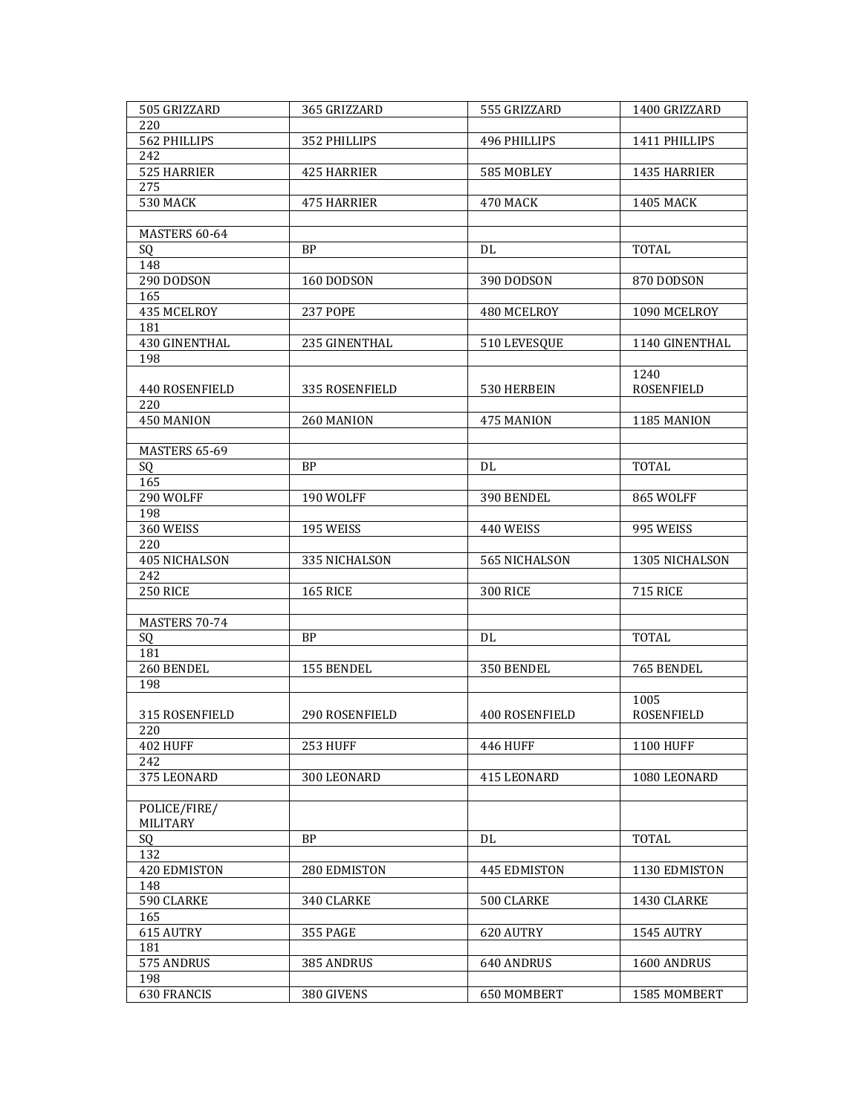| 505 GRIZZARD          | 365 GRIZZARD       | 555 GRIZZARD    | 1400 GRIZZARD     |
|-----------------------|--------------------|-----------------|-------------------|
| 220                   |                    |                 |                   |
| 562 PHILLIPS          | 352 PHILLIPS       | 496 PHILLIPS    | 1411 PHILLIPS     |
| 242                   |                    |                 |                   |
| 525 HARRIER           | <b>425 HARRIER</b> | 585 MOBLEY      | 1435 HARRIER      |
| 275                   |                    |                 |                   |
| <b>530 MACK</b>       | <b>475 HARRIER</b> | 470 MACK        | <b>1405 MACK</b>  |
|                       |                    |                 |                   |
| MASTERS 60-64         |                    |                 |                   |
| SQ                    | <b>BP</b>          | DL              | <b>TOTAL</b>      |
| 148                   |                    |                 |                   |
| 290 DODSON            | 160 DODSON         | 390 DODSON      | 870 DODSON        |
| 165                   |                    |                 |                   |
|                       |                    |                 |                   |
| 435 MCELROY           | <b>237 POPE</b>    | 480 MCELROY     | 1090 MCELROY      |
| 181                   |                    |                 |                   |
| 430 GINENTHAL         | 235 GINENTHAL      | 510 LEVESQUE    | 1140 GINENTHAL    |
| 198                   |                    |                 |                   |
|                       |                    |                 | 1240              |
| <b>440 ROSENFIELD</b> | 335 ROSENFIELD     | 530 HERBEIN     | <b>ROSENFIELD</b> |
| 220                   |                    |                 |                   |
| 450 MANION            | 260 MANION         | 475 MANION      | 1185 MANION       |
|                       |                    |                 |                   |
| MASTERS 65-69         |                    |                 |                   |
| SQ                    | <b>BP</b>          | DL              | <b>TOTAL</b>      |
| 165                   |                    |                 |                   |
| 290 WOLFF             | 190 WOLFF          | 390 BENDEL      | 865 WOLFF         |
| 198                   |                    |                 |                   |
| 360 WEISS             | 195 WEISS          | 440 WEISS       | 995 WEISS         |
| 220                   |                    |                 |                   |
| 405 NICHALSON         | 335 NICHALSON      | 565 NICHALSON   | 1305 NICHALSON    |
| 242                   |                    |                 |                   |
| <b>250 RICE</b>       | <b>165 RICE</b>    | <b>300 RICE</b> | <b>715 RICE</b>   |
|                       |                    |                 |                   |
|                       |                    |                 |                   |
| MASTERS 70-74         |                    |                 |                   |
| SQ                    | <b>BP</b>          | DL              | <b>TOTAL</b>      |
| 181                   |                    |                 |                   |
| 260 BENDEL            | 155 BENDEL         | 350 BENDEL      | 765 BENDEL        |
| 198                   |                    |                 |                   |
|                       |                    |                 | 1005              |
| 315 ROSENFIELD        | 290 ROSENFIELD     | 400 ROSENFIELD  | ROSENFIELD        |
| 220                   |                    |                 |                   |
| <b>402 HUFF</b>       | <b>253 HUFF</b>    | <b>446 HUFF</b> | <b>1100 HUFF</b>  |
| 242                   |                    |                 |                   |
| 375 LEONARD           | 300 LEONARD        | 415 LEONARD     | 1080 LEONARD      |
|                       |                    |                 |                   |
| POLICE/FIRE/          |                    |                 |                   |
| MILITARY              |                    |                 |                   |
| SQ                    | <b>BP</b>          | DL              | <b>TOTAL</b>      |
| 132                   |                    |                 |                   |
| 420 EDMISTON          | 280 EDMISTON       | 445 EDMISTON    | 1130 EDMISTON     |
| 148                   |                    |                 |                   |
|                       |                    |                 |                   |
| 590 CLARKE            | 340 CLARKE         | 500 CLARKE      | 1430 CLARKE       |
| 165                   |                    |                 |                   |
| 615 AUTRY             | 355 PAGE           | 620 AUTRY       | 1545 AUTRY        |
| 181                   |                    |                 |                   |
| 575 ANDRUS            | 385 ANDRUS         | 640 ANDRUS      | 1600 ANDRUS       |
| 198                   |                    |                 |                   |
| 630 FRANCIS           | 380 GIVENS         | 650 MOMBERT     | 1585 MOMBERT      |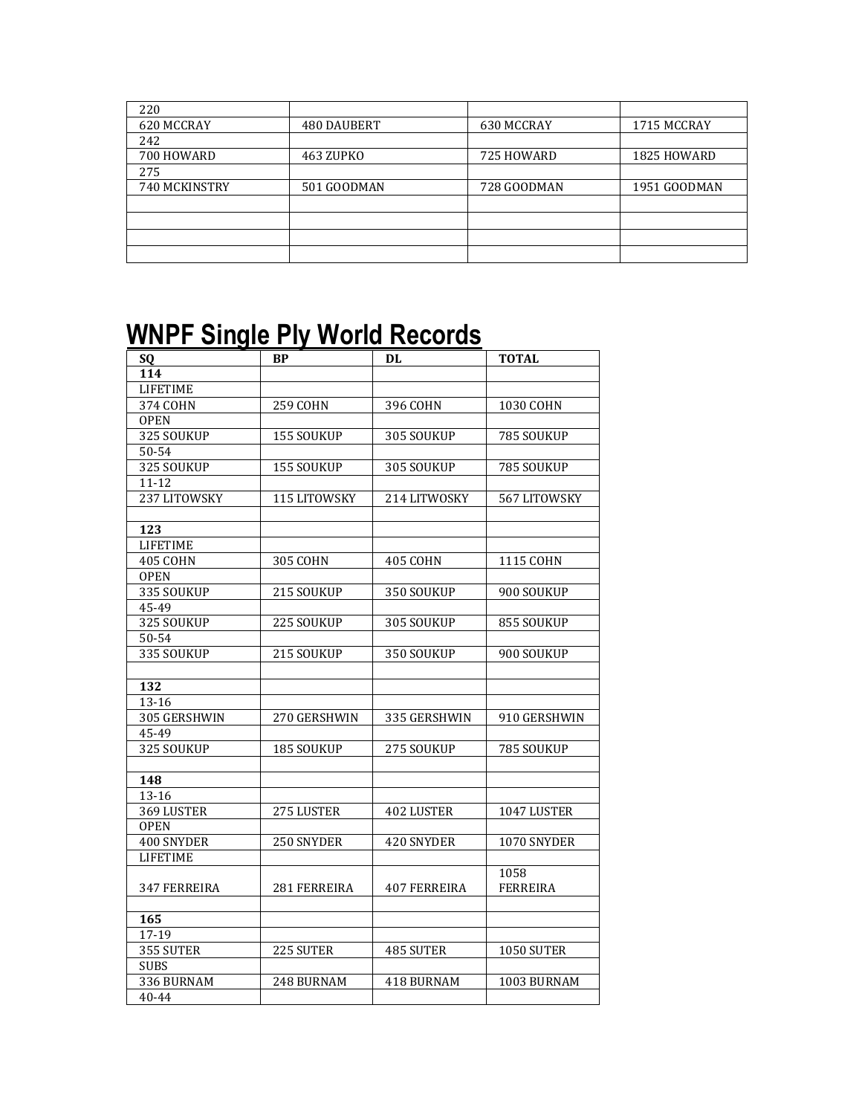| 220           |             |             |              |
|---------------|-------------|-------------|--------------|
| 620 MCCRAY    | 480 DAUBERT | 630 MCCRAY  | 1715 MCCRAY  |
| 242           |             |             |              |
| 700 HOWARD    | 463 ZUPKO   | 725 HOWARD  | 1825 HOWARD  |
| 275           |             |             |              |
| 740 MCKINSTRY | 501 GOODMAN | 728 GOODMAN | 1951 GOODMAN |
|               |             |             |              |
|               |             |             |              |
|               |             |             |              |
|               |             |             |              |

## **WNPF Single Ply World Records**

| SQ              | BP              | DL                  | <b>TOTAL</b>    |
|-----------------|-----------------|---------------------|-----------------|
| 114             |                 |                     |                 |
| <b>LIFETIME</b> |                 |                     |                 |
| 374 COHN        | <b>259 COHN</b> | 396 COHN            | 1030 COHN       |
| <b>OPEN</b>     |                 |                     |                 |
| 325 SOUKUP      | 155 SOUKUP      | 305 SOUKUP          | 785 SOUKUP      |
| 50-54           |                 |                     |                 |
| 325 SOUKUP      | 155 SOUKUP      | 305 SOUKUP          | 785 SOUKUP      |
| $11 - 12$       |                 |                     |                 |
| 237 LITOWSKY    | 115 LITOWSKY    | 214 LITWOSKY        | 567 LITOWSKY    |
|                 |                 |                     |                 |
| 123             |                 |                     |                 |
| <b>LIFETIME</b> |                 |                     |                 |
| <b>405 COHN</b> | <b>305 COHN</b> | 405 COHN            | 1115 COHN       |
| <b>OPEN</b>     |                 |                     |                 |
| 335 SOUKUP      | 215 SOUKUP      | 350 SOUKUP          | 900 SOUKUP      |
| 45-49           |                 |                     |                 |
| 325 SOUKUP      | 225 SOUKUP      | 305 SOUKUP          | 855 SOUKUP      |
| 50-54           |                 |                     |                 |
| 335 SOUKUP      | 215 SOUKUP      | 350 SOUKUP          | 900 SOUKUP      |
|                 |                 |                     |                 |
| 132             |                 |                     |                 |
| 13-16           |                 |                     |                 |
| 305 GERSHWIN    | 270 GERSHWIN    | 335 GERSHWIN        | 910 GERSHWIN    |
| 45-49           |                 |                     |                 |
| 325 SOUKUP      | 185 SOUKUP      | 275 SOUKUP          | 785 SOUKUP      |
|                 |                 |                     |                 |
| 148             |                 |                     |                 |
| 13-16           |                 |                     |                 |
| 369 LUSTER      | 275 LUSTER      | <b>402 LUSTER</b>   | 1047 LUSTER     |
| <b>OPEN</b>     |                 |                     |                 |
| 400 SNYDER      | 250 SNYDER      | 420 SNYDER          | 1070 SNYDER     |
| <b>LIFETIME</b> |                 |                     |                 |
|                 |                 |                     | 1058            |
| 347 FERREIRA    | 281 FERREIRA    | <b>407 FERREIRA</b> | <b>FERREIRA</b> |
|                 |                 |                     |                 |
| 165             |                 |                     |                 |
| 17-19           |                 |                     |                 |
| 355 SUTER       | 225 SUTER       | 485 SUTER           | 1050 SUTER      |
| <b>SUBS</b>     |                 |                     |                 |
|                 |                 |                     |                 |
| 336 BURNAM      | 248 BURNAM      | 418 BURNAM          | 1003 BURNAM     |
| $40 - 44$       |                 |                     |                 |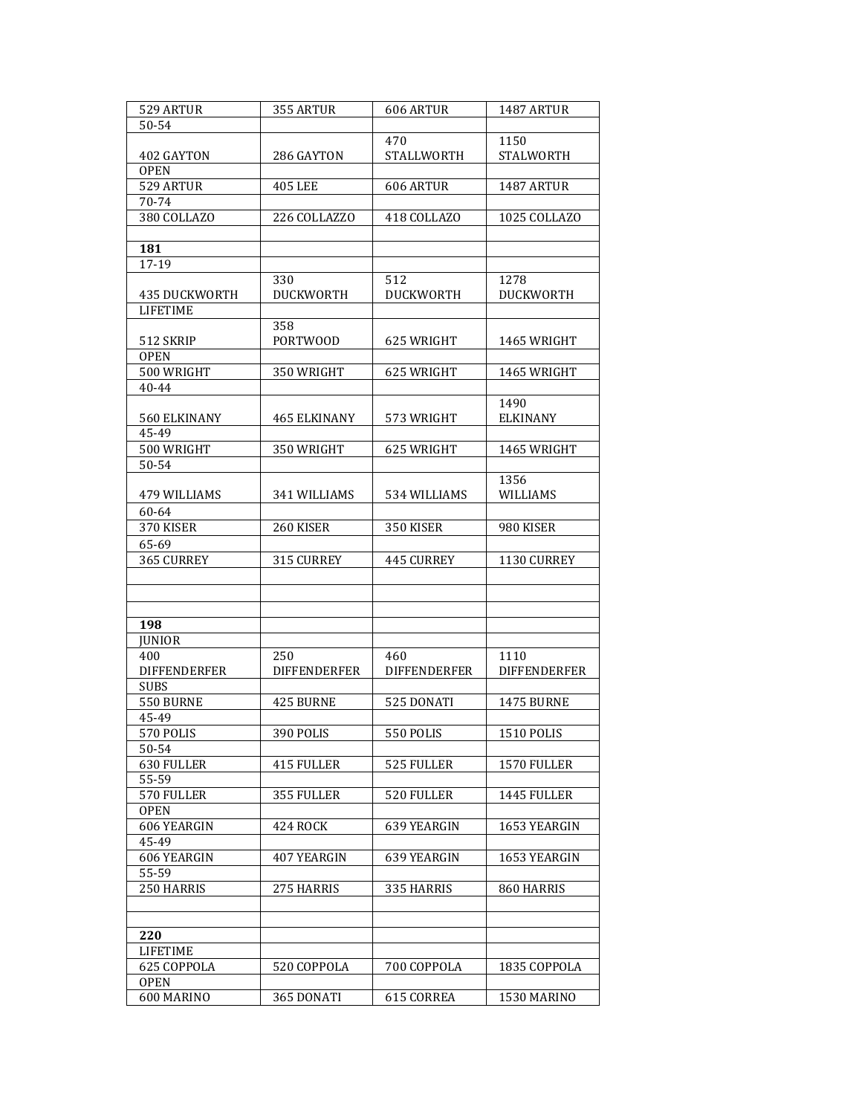| 529 ARTUR            | 355 ARTUR           | <b>606 ARTUR</b>    | 1487 ARTUR          |
|----------------------|---------------------|---------------------|---------------------|
| 50-54                |                     |                     |                     |
|                      |                     | 470                 | 1150                |
| 402 GAYTON           | 286 GAYTON          | <b>STALLWORTH</b>   | <b>STALWORTH</b>    |
| <b>OPEN</b>          |                     |                     |                     |
| 529 ARTUR            | <b>405 LEE</b>      | 606 ARTUR           | 1487 ARTUR          |
| 70-74                |                     |                     |                     |
| 380 COLLAZO          | 226 COLLAZZO        | 418 COLLAZO         | 1025 COLLAZO        |
|                      |                     |                     |                     |
| 181                  |                     |                     |                     |
| 17-19                |                     |                     |                     |
|                      | 330                 | 512                 | 1278                |
| <b>435 DUCKWORTH</b> | <b>DUCKWORTH</b>    | <b>DUCKWORTH</b>    | <b>DUCKWORTH</b>    |
| <b>LIFETIME</b>      |                     |                     |                     |
|                      |                     |                     |                     |
|                      | 358                 |                     |                     |
| 512 SKRIP            | PORTWOOD            | 625 WRIGHT          | 1465 WRIGHT         |
| <b>OPEN</b>          |                     |                     |                     |
| 500 WRIGHT           | 350 WRIGHT          | 625 WRIGHT          | 1465 WRIGHT         |
| 40-44                |                     |                     |                     |
|                      |                     |                     | 1490                |
| 560 ELKINANY         | 465 ELKINANY        | 573 WRIGHT          | <b>ELKINANY</b>     |
| 45-49                |                     |                     |                     |
| 500 WRIGHT           | 350 WRIGHT          | 625 WRIGHT          | 1465 WRIGHT         |
| 50-54                |                     |                     |                     |
|                      |                     |                     | 1356                |
| 479 WILLIAMS         | 341 WILLIAMS        | 534 WILLIAMS        | <b>WILLIAMS</b>     |
| 60-64                |                     |                     |                     |
| 370 KISER            | 260 KISER           | 350 KISER           | 980 KISER           |
| 65-69                |                     |                     |                     |
|                      |                     |                     |                     |
| 365 CURREY           | 315 CURREY          | <b>445 CURREY</b>   | 1130 CURREY         |
|                      |                     |                     |                     |
|                      |                     |                     |                     |
|                      |                     |                     |                     |
| 198                  |                     |                     |                     |
| <b>JUNIOR</b>        |                     |                     |                     |
| 400                  | 250                 | 460                 | 1110                |
| <b>DIFFENDERFER</b>  | <b>DIFFENDERFER</b> | <b>DIFFENDERFER</b> | <b>DIFFENDERFER</b> |
| <b>SUBS</b>          |                     |                     |                     |
| 550 BURNE            | 425 BURNE           | 525 DONATI          | <b>1475 BURNE</b>   |
| 45-49                |                     |                     |                     |
| 570 POLIS            | 390 POLIS           | 550 POLIS           | 1510 POLIS          |
| 50-54                |                     |                     |                     |
| 630 FULLER           | <b>415 FULLER</b>   | 525 FULLER          | 1570 FULLER         |
| 55-59                |                     |                     |                     |
| 570 FULLER           | 355 FULLER          | 520 FULLER          | 1445 FULLER         |
| <b>OPEN</b>          |                     |                     |                     |
| 606 YEARGIN          | <b>424 ROCK</b>     | 639 YEARGIN         | 1653 YEARGIN        |
| 45-49                |                     |                     |                     |
|                      |                     |                     |                     |
| 606 YEARGIN          | 407 YEARGIN         | 639 YEARGIN         | 1653 YEARGIN        |
| 55-59                |                     |                     |                     |
| 250 HARRIS           | 275 HARRIS          | 335 HARRIS          | 860 HARRIS          |
|                      |                     |                     |                     |
|                      |                     |                     |                     |
| 220                  |                     |                     |                     |
| <b>LIFETIME</b>      |                     |                     |                     |
| 625 COPPOLA          | 520 COPPOLA         | 700 COPPOLA         | 1835 COPPOLA        |
| <b>OPEN</b>          |                     |                     |                     |
| 600 MARINO           | 365 DONATI          | 615 CORREA          | 1530 MARINO         |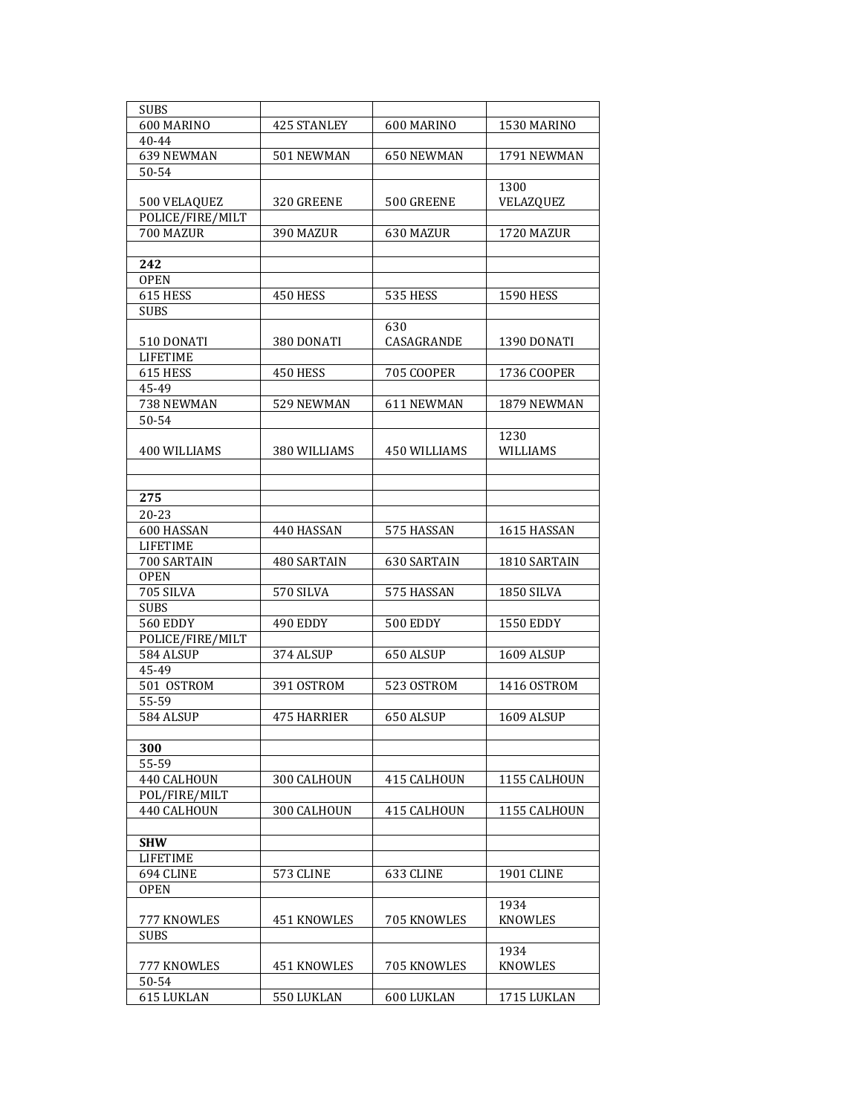| <b>SUBS</b>      |                    |                   |                   |
|------------------|--------------------|-------------------|-------------------|
| 600 MARINO       | <b>425 STANLEY</b> | 600 MARINO        | 1530 MARINO       |
| 40-44            |                    |                   |                   |
| 639 NEWMAN       | 501 NEWMAN         | 650 NEWMAN        | 1791 NEWMAN       |
|                  |                    |                   |                   |
| 50-54            |                    |                   |                   |
|                  |                    |                   | 1300              |
| 500 VELAQUEZ     | 320 GREENE         | 500 GREENE        | VELAZQUEZ         |
| POLICE/FIRE/MILT |                    |                   |                   |
| 700 MAZUR        | 390 MAZUR          | 630 MAZUR         | 1720 MAZUR        |
|                  |                    |                   |                   |
| 242              |                    |                   |                   |
| <b>OPEN</b>      |                    |                   |                   |
| 615 HESS         | 450 HESS           | <b>535 HESS</b>   | <b>1590 HESS</b>  |
| <b>SUBS</b>      |                    |                   |                   |
|                  |                    | 630               |                   |
| 510 DONATI       | 380 DONATI         | CASAGRANDE        | 1390 DONATI       |
| <b>LIFETIME</b>  |                    |                   |                   |
| 615 HESS         | 450 HESS           | <b>705 COOPER</b> | 1736 COOPER       |
| 45-49            |                    |                   |                   |
| 738 NEWMAN       | 529 NEWMAN         | 611 NEWMAN        | 1879 NEWMAN       |
|                  |                    |                   |                   |
| 50-54            |                    |                   |                   |
|                  |                    |                   | 1230              |
| 400 WILLIAMS     | 380 WILLIAMS       | 450 WILLIAMS      | <b>WILLIAMS</b>   |
|                  |                    |                   |                   |
|                  |                    |                   |                   |
| 275              |                    |                   |                   |
| 20-23            |                    |                   |                   |
| 600 HASSAN       | 440 HASSAN         | 575 HASSAN        | 1615 HASSAN       |
| <b>LIFETIME</b>  |                    |                   |                   |
| 700 SARTAIN      | 480 SARTAIN        | 630 SARTAIN       | 1810 SARTAIN      |
| <b>OPEN</b>      |                    |                   |                   |
| 705 SILVA        | 570 SILVA          | 575 HASSAN        | <b>1850 SILVA</b> |
| <b>SUBS</b>      |                    |                   |                   |
| <b>560 EDDY</b>  | 490 EDDY           | 500 EDDY          | <b>1550 EDDY</b>  |
| POLICE/FIRE/MILT |                    |                   |                   |
| 584 ALSUP        | 374 ALSUP          | 650 ALSUP         | 1609 ALSUP        |
| 45-49            |                    |                   |                   |
| 501 OSTROM       | 391 OSTROM         | 523 OSTROM        | 1416 OSTROM       |
|                  |                    |                   |                   |
| 55-59            |                    |                   | <b>1609 ALSUP</b> |
| 584 ALSUP        | <b>475 HARRIER</b> | 650 ALSUP         |                   |
|                  |                    |                   |                   |
| 300              |                    |                   |                   |
| 55-59            |                    |                   |                   |
| 440 CALHOUN      | 300 CALHOUN        | 415 CALHOUN       | 1155 CALHOUN      |
| POL/FIRE/MILT    |                    |                   |                   |
| 440 CALHOUN      | 300 CALHOUN        | 415 CALHOUN       | 1155 CALHOUN      |
|                  |                    |                   |                   |
| <b>SHW</b>       |                    |                   |                   |
| <b>LIFETIME</b>  |                    |                   |                   |
| 694 CLINE        | 573 CLINE          | 633 CLINE         | <b>1901 CLINE</b> |
| <b>OPEN</b>      |                    |                   |                   |
|                  |                    |                   | 1934              |
| 777 KNOWLES      | 451 KNOWLES        | 705 KNOWLES       | KNOWLES           |
| <b>SUBS</b>      |                    |                   |                   |
|                  |                    |                   | 1934              |
| 777 KNOWLES      | 451 KNOWLES        | 705 KNOWLES       | <b>KNOWLES</b>    |
| 50-54            |                    |                   |                   |
|                  |                    |                   |                   |
| 615 LUKLAN       | 550 LUKLAN         | 600 LUKLAN        | 1715 LUKLAN       |